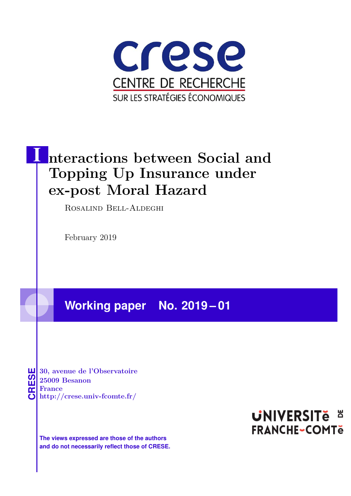

# **Interactions between Social and Topping Up Insurance under ex-post Moral Hazard**

Rosalind Bell-Aldeghi

February 2019

**Working paper No. 2019 – 01**

**CRESE 30, avenue de l'Observatoire<br>
25009 Besanon<br>
<b>CRESE France**<br> **http://crese.univ-fcomte.fr/ 25009 Besanon France**

**The views expressed are those of the authors and do not necessarily reflect those of CRESE.**

# **UNIVERSITE E FRANCHE-COMTe**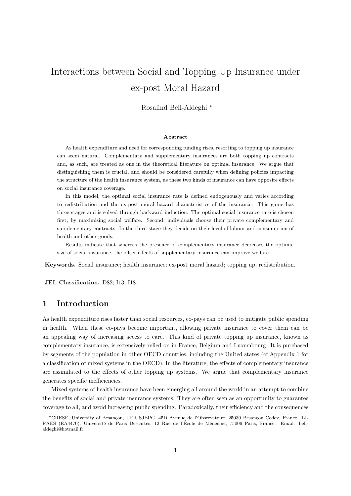# Interactions between Social and Topping Up Insurance under ex-post Moral Hazard

Rosalind Bell-Aldeghi <sup>∗</sup>

#### Abstract

As health expenditure and need for corresponding funding rises, resorting to topping up insurance can seem natural. Complementary and supplementary insurances are both topping up contracts and, as such, are treated as one in the theoretical literature on optimal insurance. We argue that distinguishing them is crucial, and should be considered carefully when defining policies impacting the structure of the health insurance system, as these two kinds of insurance can have opposite effects on social insurance coverage.

In this model, the optimal social insurance rate is defined endogenously and varies according to redistribution and the ex-post moral hazard characteristics of the insurance. This game has three stages and is solved through backward induction. The optimal social insurance rate is chosen first, by maximising social welfare. Second, individuals choose their private complementary and supplementary contracts. In the third stage they decide on their level of labour and consumption of health and other goods.

Results indicate that whereas the presence of complementary insurance decreases the optimal size of social insurance, the offset effects of supplementary insurance can improve welfare.

Keywords. Social insurance; health insurance; ex-post moral hazard; topping up; redistribution.

JEL Classification. D82; I13; I18.

# 1 Introduction

As health expenditure rises faster than social resources, co-pays can be used to mitigate public spending in health. When these co-pays become important, allowing private insurance to cover them can be an appealing way of increasing access to care. This kind of private topping up insurance, known as complementary insurance, is extensively relied on in France, Belgium and Luxembourg. It is purchased by segments of the population in other OECD countries, including the United states (cf Appendix 1 for a classification of mixed systems in the OECD). In the literature, the effects of complementary insurance are assimilated to the effects of other topping up systems. We argue that complementary insurance generates specific inefficiencies.

Mixed systems of health insurance have been emerging all around the world in an attempt to combine the benefits of social and private insurance systems. They are often seen as an opportunity to guarantee coverage to all, and avoid increasing public spending. Paradoxically, their efficiency and the consequences

<sup>\*</sup>CRESE, University of Besançon, UFR SJEPG, 45D Avenue de l'Observatoire, 25030 Besançon Cedex, France. LI-RAES (EA4470), Université de Paris Descartes, 12 Rue de l'École de Médecine, 75006 Paris, France. Email: bellaldeghi@hotmail.fr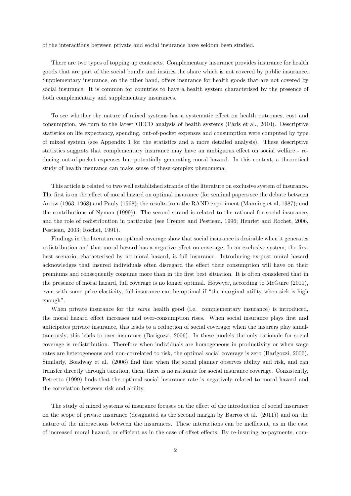of the interactions between private and social insurance have seldom been studied.

There are two types of topping up contracts. Complementary insurance provides insurance for health goods that are part of the social bundle and insures the share which is not covered by public insurance. Supplementary insurance, on the other hand, offers insurance for health goods that are not covered by social insurance. It is common for countries to have a health system characterised by the presence of both complementary and supplementary insurances.

To see whether the nature of mixed systems has a systematic effect on health outcomes, cost and consumption, we turn to the latest OECD analysis of health systems (Paris et al., 2010). Descriptive statistics on life expectancy, spending, out-of-pocket expenses and consumption were computed by type of mixed system (see Appendix 1 for the statistics and a more detailed analysis). These descriptive statistics suggests that complementary insurance may have an ambiguous effect on social welfare - reducing out-of-pocket expenses but potentially generating moral hazard. In this context, a theoretical study of health insurance can make sense of these complex phenomena.

This article is related to two well established strands of the literature on exclusive system of insurance. The first is on the effect of moral hazard on optimal insurance (for seminal papers see the debate between Arrow (1963, 1968) and Pauly (1968); the results from the RAND experiment (Manning et al, 1987); and the contributions of Nyman (1999)). The second strand is related to the rational for social insurance, and the role of redistribution in particular (see Cremer and Pestieau, 1996; Henriet and Rochet, 2006, Pestieau, 2003; Rochet, 1991).

Findings in the literature on optimal coverage show that social insurance is desirable when it generates redistribution and that moral hazard has a negative effect on coverage. In an exclusive system, the first best scenario, characterised by no moral hazard, is full insurance. Introducing ex-post moral hazard acknowledges that insured individuals often disregard the effect their consumption will have on their premiums and consequently consume more than in the first best situation. It is often considered that in the presence of moral hazard, full coverage is no longer optimal. However, according to McGuire (2011), even with some price elasticity, full insurance can be optimal if "the marginal utility when sick is high enough".

When private insurance for the *same* health good (i.e. complementary insurance) is introduced, the moral hazard effect increases and over-consumption rises. When social insurance plays first and anticipates private insurance, this leads to a reduction of social coverage; when the insurers play simultaneously, this leads to over-insurance (Barigozzi, 2006). In these models the only rationale for social coverage is redistribution. Therefore when individuals are homogeneous in productivity or when wage rates are heterogeneous and non-correlated to risk, the optimal social coverage is zero (Barigozzi, 2006). Similarly, Boadway et al. (2006) find that when the social planner observes ability and risk, and can transfer directly through taxation, then, there is no rationale for social insurance coverage. Consistently, Petretto (1999) finds that the optimal social insurance rate is negatively related to moral hazard and the correlation between risk and ability.

The study of mixed systems of insurance focuses on the effect of the introduction of social insurance on the scope of private insurance (designated as the second margin by Barros et al. (2011)) and on the nature of the interactions between the insurances. These interactions can be inefficient, as in the case of increased moral hazard, or efficient as in the case of offset effects. By re-insuring co-payments, com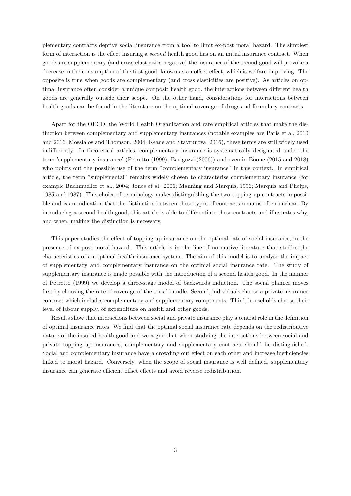plementary contracts deprive social insurance from a tool to limit ex-post moral hazard. The simplest form of interaction is the effect insuring a second health good has on an initial insurance contract. When goods are supplementary (and cross elasticities negative) the insurance of the second good will provoke a decrease in the consumption of the first good, known as an offset effect, which is welfare improving. The opposite is true when goods are complementary (and cross elasticities are positive). As articles on optimal insurance often consider a unique composit health good, the interactions between different health goods are generally outside their scope. On the other hand, considerations for interactions between health goods can be found in the literature on the optimal coverage of drugs and formulary contracts.

Apart for the OECD, the World Health Organization and rare empirical articles that make the distinction between complementary and supplementary insurances (notable examples are Paris et al, 2010 and 2016; Mossialos and Thomson, 2004; Keane and Stavrunova, 2016), these terms are still widely used indifferently. In theoretical articles, complementary insurance is systematically designated under the term 'supplementary insurance' (Petretto (1999); Barigozzi (2006)) and even in Boone (2015 and 2018) who points out the possible use of the term "complementary insurance" in this context. In empirical article, the term "supplemental" remains widely chosen to characterise complementary insurance (for example Buchmueller et al., 2004; Jones et al. 2006; Manning and Marquis, 1996; Marquis and Phelps, 1985 and 1987). This choice of terminology makes distinguishing the two topping up contracts impossible and is an indication that the distinction between these types of contracts remains often unclear. By introducing a second health good, this article is able to differentiate these contracts and illustrates why, and when, making the distinction is necessary.

This paper studies the effect of topping up insurance on the optimal rate of social insurance, in the presence of ex-post moral hazard. This article is in the line of normative literature that studies the characteristics of an optimal health insurance system. The aim of this model is to analyse the impact of supplementary and complementary insurance on the optimal social insurance rate. The study of supplementary insurance is made possible with the introduction of a second health good. In the manner of Petretto (1999) we develop a three-stage model of backwards induction. The social planner moves first by choosing the rate of coverage of the social bundle. Second, individuals choose a private insurance contract which includes complementary and supplementary components. Third, households choose their level of labour supply, of expenditure on health and other goods.

Results show that interactions between social and private insurance play a central role in the definition of optimal insurance rates. We find that the optimal social insurance rate depends on the redistributive nature of the insured health good and we argue that when studying the interactions between social and private topping up insurances, complementary and supplementary contracts should be distinguished. Social and complementary insurance have a crowding out effect on each other and increase inefficiencies linked to moral hazard. Conversely, when the scope of social insurance is well defined, supplementary insurance can generate efficient offset effects and avoid reverse redistribution.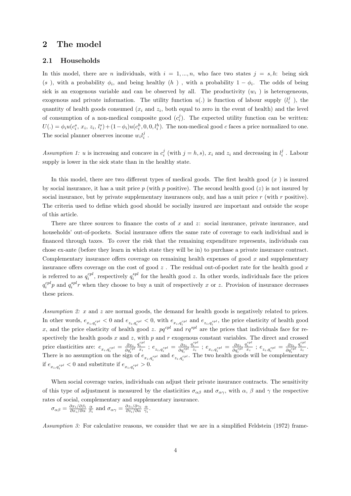# 2 The model

## 2.1 Households

In this model, there are n individuals, with  $i = 1, ..., n$ , who face two states  $j = s, h$ : being sick (s), with a probability  $\phi_i$ , and being healthy (h), with a probability  $1 - \phi_i$ . The odds of being sick is an exogenous variable and can be observed by all. The productivity  $(w<sub>i</sub>)$  is heterogeneous, exogenous and private information. The utility function  $u(.)$  is function of labour supply  $(l_i^j)$ , the quantity of health goods consumed  $(x_i$  and  $z_i$ , both equal to zero in the event of health) and the level of consumption of a non-medical composite good  $(c_i^j)$ . The expected utility function can be written:  $U(.) = \phi_i u(c_i^s, x_i, z_i, l_i^s) + (1 - \phi_i) u(c_i^h, 0, 0, l_i^h)$ . The non-medical good c faces a price normalized to one. The social planner observes income  $w_i l_i^j$ .

Assumption 1: u is increasing and concave in  $c_i^j$  (with  $j = h, s$ ),  $x_i$  and  $z_i$  and decreasing in  $l_i^j$ . Labour supply is lower in the sick state than in the healthy state.

In this model, there are two different types of medical goods. The first health good  $(x)$  is insured by social insurance, it has a unit price p (with p positive). The second health good  $(z)$  is not insured by social insurance, but by private supplementary insurances only, and has a unit price  $r$  (with  $r$  positive). The criteria used to define which good should be socially insured are important and outside the scope of this article.

There are three sources to finance the costs of  $x$  and  $z$ : social insurance, private insurance, and households' out-of-pockets. Social insurance offers the same rate of coverage to each individual and is financed through taxes. To cover the risk that the remaining expenditure represents, individuals can chose ex-ante (before they learn in which state they will be in) to purchase a private insurance contract. Complementary insurance offers coverage on remaining health expenses of good  $x$  and supplementary insurance offers coverage on the cost of good  $z$ . The residual out-of-pocket rate for the health good  $x$ is referred to as  $q_i^{cpl}$ , respectively  $q_i^{spl}$  for the health good z. In other words, individuals face the prices  $q_i^{cpl}p$  and  $q_i^{spl}r$  when they choose to buy a unit of respectively x or z. Provision of insurance decreases these prices.

Assumption 2: x and z are normal goods, the demand for health goods is negatively related to prices. In other words,  $e_{x_i,q_i^{cpl}} < 0$  and  $e_{z_i,q_i^{spl}} < 0$ , with  $e_{x_i,q_i^{cpl}}$  and  $e_{z_i,q_i^{spl}}$ , the price elasticity of health good x, and the price elasticity of health good z.  $pq^{cpl}$  and  $rq^{spl}$  are the prices that individuals face for respectively the health goods  $x$  and  $z$ , with  $p$  and  $r$  exogenous constant variables. The direct and crossed price elasticities are:  $e_{x_i, q_i^{cpl}} = \frac{\partial x_i}{\partial q_i^{cpl}}$  $\frac{q_i^{cpl}}{x_i}$  ;  $e_{z_i,q_i^{spl}}=\frac{\partial z_i}{\partial q_i^{spl}}$  $\frac{q_i^{spl}}{z_i}$  ;  $e_{x_i,q_i^{spl}} = \frac{\partial x_i}{\partial q_i^{spl}}$  $\frac{q_i^{spl}}{x_i}$  ;  $e_{z_i,q_i^{spl}} = \frac{\partial z_i}{\partial q_i^{cpl}}$  $\frac{q_i^{cpl}}{z_i}$ . There is no assumption on the sign of  $e_{x_i,q_i^{spl}}$  and  $e_{z_i,q_i^{cpl}}$ . The two health goods will be complementary if  $e_{x_i, q_i^{spl}} < 0$  and substitute if  $e_{x_i, q_i^{spl}} > 0$ .

When social coverage varies, individuals can adjust their private insurance contracts. The sensitivity of this type of adjustment is measured by the elasticities  $\sigma_{\alpha\beta}$  and  $\sigma_{\alpha\gamma}$ , with  $\alpha$ ,  $\beta$  and  $\gamma$  the respective rates of social, complementary and supplementary insurance.

$$
\sigma_{\alpha\beta} = \frac{\partial x_i/\partial \beta_i}{\partial x_i/\partial \alpha} \frac{\alpha}{\beta_i}
$$
 and  $\sigma_{\alpha\gamma} = \frac{\partial z_i/\partial \gamma_i}{\partial z_i/\partial \alpha} \frac{\alpha}{\gamma_i}$ .

Assumption 3: For calculative reasons, we consider that we are in a simplified Feldstein (1972) frame-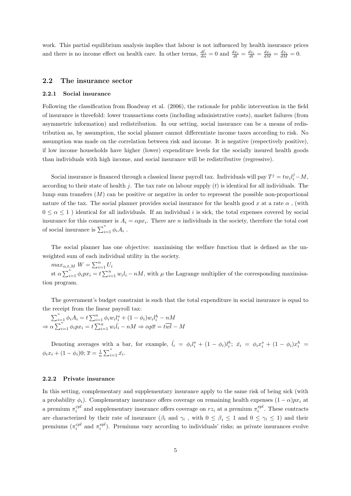work. This partial equilibrium analysis implies that labour is not influenced by health insurance prices and there is no income effect on health care. In other terms,  $\frac{d\bar{l}_i}{d\alpha} = 0$  and  $\frac{dx_i}{dt} = \frac{dx_i}{dt} = \frac{dx_i}{dM} = \frac{dz_i}{dM} = 0$ .

## 2.2 The insurance sector

#### 2.2.1 Social insurance

Following the classification from Boadway et al. (2006), the rationale for public intervention in the field of insurance is threefold: lower transactions costs (including administrative costs), market failures (from asymmetric information) and redistribution. In our setting, social insurance can be a means of redistribution as, by assumption, the social planner cannot differentiate income taxes according to risk. No assumption was made on the correlation between risk and income. It is negative (respectively positive), if low income households have higher (lower) expenditure levels for the socially insured health goods than individuals with high income, and social insurance will be redistributive (regressive).

Social insurance is financed through a classical linear payroll tax. Individuals will pay  $T^j = tw_i l_i^j - M$ , according to their state of health  $j$ . The tax rate on labour supply  $(t)$  is identical for all individuals. The lump sum transfers  $(M)$  can be positive or negative in order to represent the possible non-proportional nature of the tax. The social planner provides social insurance for the health good x at a rate  $\alpha$ , (with  $0 \le \alpha \le 1$ ) identical for all individuals. If an individual i is sick, the total expenses covered by social insurance for this consumer is  $A_i = \alpha p x_i$ . There are n individuals in the society, therefore the total cost of social insurance is  $\sum_{i=1}^{n} \phi_i A_i$ .

The social planner has one objective: maximising the welfare function that is defined as the unweighted sum of each individual utility in the society.

 $max_{\alpha,t,M} W = \sum_{i=1}^{n} U_i$ st  $\alpha \sum_{i=1}^{n} \phi_i px_i = t \sum_{i=1}^{n} w_i l_i - nM$ , with  $\mu$  the Lagrange multiplier of the corresponding maximisation program.

The government's budget constraint is such that the total expenditure in social insurance is equal to the receipt from the linear payroll tax:

 $\sum_{i=1}^{n} \phi_i A_i = t \sum_{i=1}^{n} \phi_i w_i l_i^s + (1 - \phi_i) w_i l_i^h - nM$  $\Rightarrow \alpha \sum_{i=1}^{n} \phi_i px_i = t \sum_{i=1}^{n} w_i \overline{l_i} - nM \Rightarrow \alpha p\overline{x} = t\overline{wl} - M$ 

Denoting averages with a bar, for example,  $\bar{l}_i = \phi_i l_i^s + (1 - \phi_i)l_i^h$ ;  $\bar{x}_i = \phi_i x_i^s + (1 - \phi_i) x_i^h$  $\phi_i x_i + (1 - \phi_i)0; \overline{x} = \frac{1}{n} \sum_{i=1}^n \overline{x_i}.$ 

#### 2.2.2 Private insurance

In this setting, complementary and supplementary insurance apply to the same risk of being sick (with a probability  $\phi_i$ ). Complementary insurance offers coverage on remaining health expenses  $(1 - \alpha)px_i$  at a premium  $\pi_i^{cpl}$  and supplementary insurance offers coverage on  $rz_i$  at a premium  $\pi_i^{spl}$ . These contracts are characterized by their rate of insurance  $(\beta_i \text{ and } \gamma_i)$ , with  $0 \leq \beta_i \leq 1$  and  $0 \leq \gamma_i \leq 1$  and their premiums  $(\pi_i^{cpl}$  and  $\pi_i^{spl})$ . Premiums vary according to individuals' risks; as private insurances evolve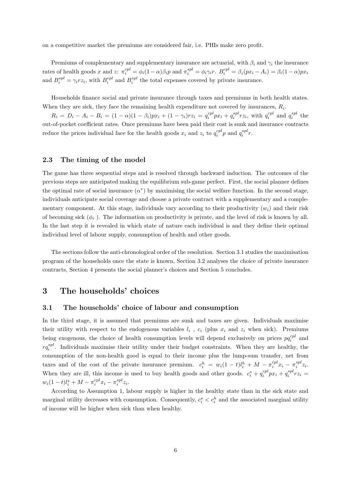on a competitive market the premiums are considered fair, i.e. PHIs make zero profit.

Premiums of complementary and supplementary insurance are actuarial, with  $\beta_i$  and  $\gamma_i$  the insurance rates of health goods x and z:  $\pi_i^{cpl} = \phi_i(1-\alpha)\beta_i p$  and  $\pi_i^{spl} = \phi_i \gamma_i r$ .  $B_i^{cpl} = \beta_i(px_i - A_i) = \beta_i(1-\alpha)px_i$ and  $B_i^{spl} = \gamma_i r z_i$ , with  $B_i^{cpl}$  and  $B_i^{spl}$  the total expenses covered by private insurance.

Households finance social and private insurance through taxes and premiums in both health states. When they are sick, they face the remaining health expenditure not covered by insurances,  $R_i$ .

 $R_i = D_i - A_i - B_i = (1 - \alpha)(1 - \beta_i)px_i + (1 - \gamma_i)rz_i = q_i^{cpl}px_i + q_i^{spl}rz_i$ , with  $q_i^{cpl}$  and  $q_i^{spl}$  the out-of-pocket coefficient rates. Once premiums have been paid their cost is sunk and insurance contracts reduce the prices individual face for the health goods  $x_i$  and  $z_i$  to  $q_i^{cpl}p$  and  $q_i^{spl}r$ .

## 2.3 The timing of the model

The game has three sequential steps and is resolved through backward induction. The outcomes of the previous steps are anticipated making the equilibrium sub-game perfect. First, the social planner defines the optimal rate of social insurance  $(\alpha^*)$  by maximising the social welfare function. In the second stage, individuals anticipate social coverage and choose a private contract with a supplementary and a complementary component. At this stage, individuals vary according to their productivity  $(w_i)$  and their risk of becoming sick  $(\phi_i)$ . The information on productivity is private, and the level of risk is known by all. In the last step it is revealed in which state of nature each individual is and they define their optimal individual level of labour supply, consumption of health and other goods.

The sections follow the anti-chronological order of the resolution. Section 3.1 studies the maximisation program of the households once the state is known, Section 3.2 analyses the choice of private insurance contracts, Section 4 presents the social planner's choices and Section 5 concludes.

# 3 The households' choices

### 3.1 The households' choice of labour and consumption

In the third stage, it is assumed that premiums are sunk and taxes are given. Individuals maximise their utility with respect to the endogenous variables  $l_i$ ,  $c_i$  (plus  $x_i$  and  $z_i$  when sick). Premiums being exogenous, the choice of health consumption levels will depend exclusively on prices  $pq_i^{cpl}$  and  $rq_i^{spl}$ . Individuals maximise their utility under their budget constraints. When they are healthy, the consumption of the non-health good is equal to their income plus the lump-sum transfer, net from taxes and of the cost of the private insurance premium.  $c_i^h = w_i(1-t)l_i^h + M - \pi_i^{cpl}x_i - \pi_i^{spl}z_i$ . When they are ill, this income is used to buy health goods and other goods.  $c_i^s + q_i^{cpl} p x_i + q_i^{spl} r z_i =$  $w_i(1-t)l_i^s + M - \pi_i^{cpl}x_i - \pi_i^{spl}z_i.$ 

According to Assumption 1, labour supply is higher in the healthy state than in the sick state and marginal utility decreases with consumption. Consequently,  $c_i^s < c_i^h$  and the associated marginal utility of income will be higher when sick than when healthy.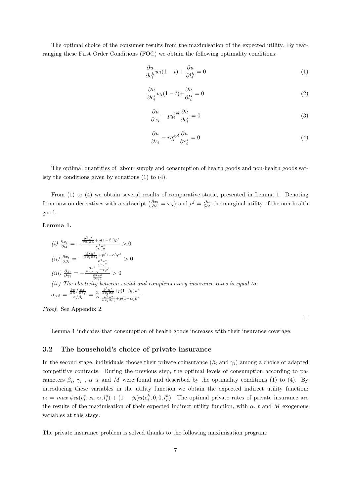The optimal choice of the consumer results from the maximisation of the expected utility. By rearranging these First Order Conditions (FOC) we obtain the following optimality conditions:

$$
\frac{\partial u}{\partial c_i^h} w_i (1 - t) + \frac{\partial u}{\partial l_i^h} = 0 \tag{1}
$$

$$
\frac{\partial u}{\partial c_i^s} w_i (1 - t) + \frac{\partial u}{\partial l_i^s} = 0
$$
\n<sup>(2)</sup>

$$
\frac{\partial u}{\partial x_i} - p q_i^{cpl} \frac{\partial u}{\partial c_i^s} = 0 \tag{3}
$$

$$
\frac{\partial u}{\partial z_i} - r q_i^{spl} \frac{\partial u}{\partial c_i^s} = 0 \tag{4}
$$

 $\Box$ 

The optimal quantities of labour supply and consumption of health goods and non-health goods satisfy the conditions given by equations (1) to (4).

From (1) to (4) we obtain several results of comparative static, presented in Lemma 1. Denoting from now on derivatives with a subscript  $\left(\frac{\partial x_i}{\partial \alpha} = x_\alpha\right)$  and  $\rho^j = \frac{\partial u}{\partial c^j}$  the marginal utility of the non-health good.

## Lemma 1.

(i) 
$$
\frac{\partial x_i}{\partial \alpha} = -\frac{\frac{\partial^2 u^s}{\partial x_i \partial \alpha} + p(1-\beta_i)\rho^s}{\frac{\partial^2 u^s}{\partial x_i^2}} > 0
$$
  
\n(ii) 
$$
\frac{\partial x_i}{\partial \beta_i} = -\frac{\frac{\partial^2 u^s}{\partial x_i \partial \beta_i} + p(1-\alpha)\rho^s}{\frac{\partial^2 u^s}{\partial x_i^2}} > 0
$$
  
\n(iii) 
$$
\frac{\partial z_i}{\partial \gamma_i} = -\frac{\frac{\partial u^s}{\partial x_i \partial \gamma_i} + r\rho^s}{\frac{\partial^2 u^s}{\partial x_i^2}} > 0
$$
  
\n(iv) The elasticity between social and complementary insurance rates is equal to:  
\n
$$
\sigma_{\alpha\beta} = \frac{\frac{\partial x}{\partial \alpha} / \frac{\partial x}{\partial \beta_i}}{\alpha / \beta_i} = \frac{\beta_i}{\alpha} \frac{\frac{\partial^2 u^s}{\partial x_i \partial \alpha} + p(1-\beta_i)\rho^s}{\frac{\partial^2 u^s}{\partial x_i \partial \beta_i} + p(1-\alpha)\rho^s}.
$$

Proof. See Appendix 2.

Lemma 1 indicates that consumption of health goods increases with their insurance coverage.

## 3.2 The household's choice of private insurance

In the second stage, individuals choose their private coinsurance  $(\beta_i \text{ and } \gamma_i)$  among a choice of adapted competitive contracts. During the previous step, the optimal levels of consumption according to parameters  $\beta_i$ ,  $\gamma_i$ ,  $\alpha$ , t and M were found and described by the optimality conditions (1) to (4). By introducing these variables in the utility function we obtain the expected indirect utility function:  $v_i = max \phi_i u(c_i^s, x_i, z_i, l_i^s) + (1 - \phi_i) u(c_i^h, 0, 0, l_i^h)$ . The optimal private rates of private insurance are the results of the maximisation of their expected indirect utility function, with  $\alpha$ , t and M exogenous variables at this stage.

The private insurance problem is solved thanks to the following maximisation program: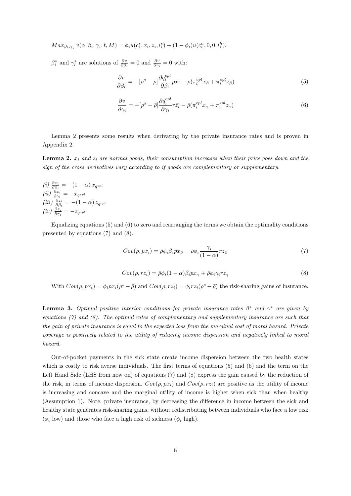$$
Max_{\beta_i, \gamma_i} v(\alpha, \beta_i, \gamma_i, t, M) = \phi_i u(c_i^s, x_i, z_i, l_i^s) + (1 - \phi_i) u(c_i^h, 0, 0, l_i^h).
$$

 $\beta_i^*$  and  $\gamma_i^*$  are solutions of  $\frac{\partial v}{\partial \beta_i} = 0$  and  $\frac{\partial v}{\partial \gamma_i} = 0$  with:

$$
\frac{\partial v}{\partial \beta_i} = -[\rho^s - \bar{\rho}] \frac{\partial q_i^{cpl}}{\partial \beta_i} p \bar{x_i} - \bar{\rho} (\pi_i^{cpl} x_\beta + \pi_i^{spl} z_\beta)
$$
(5)

$$
\frac{\partial v}{\partial \gamma_i} = -[\rho^s - \bar{\rho}] \frac{\partial q_i^{cpl}}{\partial \gamma_i} r \bar{z}_i - \bar{\rho} (\pi_i^{cpl} x_\gamma + \pi_i^{spl} z_\gamma)
$$
(6)

Lemma 2 presents some results when derivating by the private insurance rates and is proven in Appendix 2.

**Lemma 2.**  $x_i$  and  $z_i$  are normal goods, their consumption increases when their price goes down and the sign of the cross derivatives vary according to if goods are complementary or supplementary.

(i)  $\frac{\partial x_i}{\partial \beta_i} = -(1-\alpha) x_{q^{cpl}}$ (ii)  $\frac{\partial x_i}{\partial \gamma_i} = -x_{q^{spl}}$ (iii)  $\frac{\partial z_i}{\partial \beta_i} = -(1-\alpha) z_{q^{cpl}}$  $(iv)$   $\frac{\partial z_i}{\partial \gamma_i} = -z_{q^{spl}}$ 

Equalizing equations  $(5)$  and  $(6)$  to zero and rearranging the terms we obtain the optimality conditions presented by equations (7) and (8).

$$
Cov(\rho, px_i) = \bar{\rho}\phi_i \beta_i px_\beta + \bar{\rho}\phi_i \frac{\gamma_i}{(1-\alpha)} rz_\beta \tag{7}
$$

$$
Cov(\rho, r z_i) = \bar{\rho}\phi_i(1-\alpha)\beta_i p x_\gamma + \bar{\rho}\phi_i \gamma_i r z_\gamma \tag{8}
$$

With  $Cov(\rho, px_i) = \phi_i px_i(\rho^s - \bar{\rho})$  and  $Cov(\rho, rz_i) = \phi_i rz_i(\rho^s - \bar{\rho})$  the risk-sharing gains of insurance.

**Lemma 3.** Optimal positive interior conditions for private insurance rates  $\beta^*$  and  $\gamma^*$  are given by equations  $(7)$  and  $(8)$ . The optimal rates of complementary and supplementary insurance are such that the gain of private insurance is equal to the expected loss from the marginal cost of moral hazard. Private coverage is positively related to the utility of reducing income dispersion and negatively linked to moral hazard.

Out-of-pocket payments in the sick state create income dispersion between the two health states which is costly to risk averse individuals. The first terms of equations (5) and (6) and the term on the Left Hand Side (LHS from now on) of equations (7) and (8) express the gain caused by the reduction of the risk, in terms of income dispersion.  $Cov(\rho, px_i)$  and  $Cov(\rho, rz_i)$  are positive as the utility of income is increasing and concave and the marginal utility of income is higher when sick than when healthy (Assumption 1). Note, private insurance, by decreasing the difference in income between the sick and healthy state generates risk-sharing gains, without redistributing between individuals who face a low risk  $(\phi_i$  low) and those who face a high risk of sickness  $(\phi_i)$  high.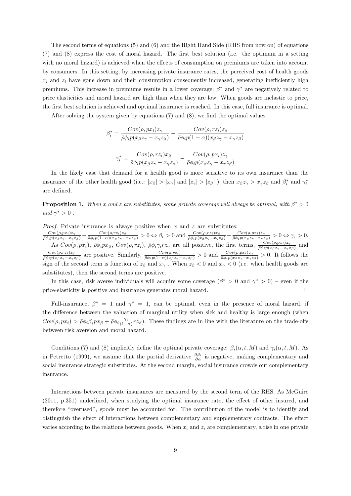The second terms of equations (5) and (6) and the Right Hand Side (RHS from now on) of equations (7) and (8) express the cost of moral hazard. The first best solution (i.e. the optimum in a setting with no moral hazard) is achieved when the effects of consumption on premiums are taken into account by consumers. In this setting, by increasing private insurance rates, the perceived cost of health goods  $x_i$  and  $z_i$  have gone down and their consumption consequently increased, generating inefficiently high premiums. This increase in premiums results in a lower coverage;  $\beta^*$  and  $\gamma^*$  are negatively related to price elasticities and moral hazard are high than when they are low. When goods are inelastic to price, the first best solution is achieved and optimal insurance is reached. In this case, full insurance is optimal.

After solving the system given by equations (7) and (8), we find the optimal values:

$$
\beta_i^* = \frac{Cov(\rho, px_i)z_{\gamma}}{\bar{\rho}\phi_i p(x_{\beta}z_{\gamma} - x_{\gamma}z_{\beta})} - \frac{Cov(\rho, rz_i)z_{\beta}}{\bar{\rho}\phi_i p(1 - \alpha)(x_{\beta}z_{\gamma} - x_{\gamma}z_{\beta})}
$$

$$
\gamma_i^* = \frac{Cov(\rho, rz_i)x_{\beta}}{\bar{\rho}\phi_i p(x_{\beta}z_{\gamma} - x_{\gamma}z_{\beta})} - \frac{Cov(\rho, px_i)z_{\gamma}}{\bar{\rho}\phi_i p(x_{\beta}z_{\gamma} - x_{\gamma}z_{\beta})}
$$

In the likely case that demand for a health good is more sensitive to its own insurance than the insurance of the other health good (i.e.:  $|x_{\beta}| > |x_{\gamma}|$  and  $|z_{\gamma}| > |z_{\beta}|$ ), then  $x_{\beta}z_{\gamma} > x_{\gamma}z_{\beta}$  and  $\beta_{i}^{*}$  and  $\gamma_{i}^{*}$ are defined.

**Proposition 1.** When x and z are substitutes, some private coverage will always be optimal, with  $\beta^* > 0$ and  $\gamma^* > 0$ .

*Proof.* Private insurance is always positive when  $x$  and  $z$  are substitutes:

 $\frac{Cov(\rho,px_i)z_{\gamma}}{\bar{\rho}\phi_i p(x_{\beta}z_{\gamma}-x_{\gamma}z_{\beta})} - \frac{Cov(\rho,rz_i)z_{\beta}}{\bar{\rho}\phi_i p(1-\alpha)(x_{\beta}z_{\gamma}-x_{\gamma}z_{\beta})} > 0 \Leftrightarrow \beta_i > 0 \text{ and } \frac{Cov(\rho,rz_i)x_{\beta}}{\bar{\rho}\phi_i p(x_{\beta}z_{\gamma}-x_{\gamma}z_{\beta})} - \frac{Cov(\rho,px_i)z_{\gamma}}{\bar{\rho}\phi_i p(x_{\beta}z_{\gamma}-x_{\gamma}z_{\beta})} > 0 \Leftrightarrow \gamma_i > 0.$ As  $Cov(\rho, px_i)$ ,  $\bar{\rho}\phi_i px_{\beta}$ ,  $Cov(\rho, rz_i)$ ,  $\bar{\rho}\phi_i \gamma_i rz_{\gamma}$  are all positive, the first terms,  $\frac{Cov(\rho, px_i)z_{\gamma}}{\bar{\rho}\phi_i p(x_{\beta}z_{\gamma}-x_{\gamma}z_{\beta})}$  and  $Cov(\rho, rz_i)x_\beta$  $\frac{Cov(\rho,rz_i)x_{\beta}}{\bar{\rho}\phi_i p(x_{\beta}z_{\gamma}-x_{\gamma}z_{\beta})}$  are positive. Similarly,  $\frac{Cov(\rho,rz_i)}{\bar{\rho}\phi_i p(1-\alpha)(x_{\beta}z_{\gamma}-x_{\gamma}z_{\beta})} > 0$  and  $\frac{Cov(\rho,px_i)z_{\gamma}}{\bar{\rho}\phi_i p(x_{\beta}z_{\gamma}-x_{\gamma}z_{\beta})} > 0$ . It follows the sign of the second term is function of  $z_\beta$  and  $x_\gamma$ . When  $z_\beta < 0$  and  $x_\gamma < 0$  (i.e. when health goods are substitutes), then the second terms are positive.

In this case, risk averse individuals will acquire some coverage  $(\beta^* > 0$  and  $\gamma^* > 0$ ) – even if the price-elasticity is positive and insurance generates moral hazard.  $\Box$ 

Full-insurance,  $\beta^* = 1$  and  $\gamma^* = 1$ , can be optimal, even in the presence of moral hazard, if the difference between the valuation of marginal utility when sick and healthy is large enough (when  $Cov(\rho, px_i) > \bar{\rho} \phi_i \beta_i px_{\beta} + \bar{\rho} \phi_i \frac{\gamma_i}{(1-\alpha)} rz_{\beta}$ . These findings are in line with the literature on the trade-offs between risk aversion and moral hazard.

Conditions (7) and (8) implicitly define the optimal private coverage:  $\beta_i(\alpha, t, M)$  and  $\gamma_i(\alpha, t, M)$ . As in Petretto (1999), we assume that the partial derivative  $\frac{\partial \beta_i}{\partial \alpha}$  is negative, making complementary and social insurance strategic substitutes. At the second margin, social insurance crowds out complementary insurance.

Interactions between private insurances are measured by the second term of the RHS. As McGuire (2011, p.351) underlined, when studying the optimal insurance rate, the effect of other insured, and therefore "overused", goods must be accounted for. The contribution of the model is to identify and distinguish the effect of interactions between complementary and supplementary contracts. The effect varies according to the relations between goods. When  $x_i$  and  $z_i$  are complementary, a rise in one private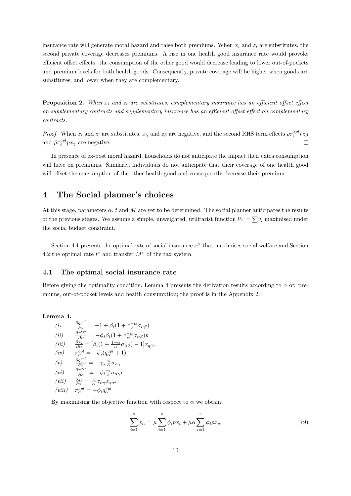insurance rate will generate moral hazard and raise both premiums. When  $x_i$  and  $z_i$  are substitutes, the second private coverage decreases premiums. A rise in one health good insurance rate would provoke efficient offset effects: the consumption of the other good would decrease leading to lower out-of-pockets and premium levels for both health goods. Consequently, private coverage will be higher when goods are substitutes, and lower when they are complementary.

**Proposition 2.** When  $x_i$  and  $z_i$  are substitutes, complementary insurance has an efficient offset effect on supplementary contracts and supplementary insurance has an efficient offset effect on complementary contracts.

*Proof.* When  $x_i$  and  $z_i$  are substitutes,  $x_\gamma$  and  $z_\beta$  are negative, and the second RHS term effects  $\bar{\rho}\pi_i^{spl}r z_\beta$ and  $\bar{\rho}\pi_i^{cpl}px_{\gamma}$  are negative.  $\Box$ 

In presence of ex-post moral hazard, households do not anticipate the impact their extra consumption will have on premiums. Similarly, individuals do not anticipate that their coverage of one health good will offset the consumption of the other health good and consequently decrease their premium.

# 4 The Social planner's choices

At this stage, parameters  $\alpha$ , t and M are yet to be determined. The social planner anticipates the results of the previous stages. We assume a simple, unweighted, utilitarist function  $W = \sum v_i$  maximised under the social budget constraint.

Section 4.1 presents the optimal rate of social insurance  $\alpha^*$  that maximises social welfare and Section 4.2 the optimal rate  $t^*$  and transfer  $M^*$  of the tax system.

## 4.1 The optimal social insurance rate

Before giving the optimality condition, Lemma 4 presents the derivation results according to  $\alpha$  of: premiums, out-of-pocket levels and health consumption; the proof is in the Appendix 2.

Lemma 4.  $\sum_{n=1}^{\infty}$ 

(i) 
$$
\frac{\partial q_i^{cpl}}{\partial \alpha} = -1 + \beta_i (1 + \frac{1-\alpha}{\alpha} \sigma_{\alpha \beta})
$$
  
\n(ii) 
$$
\frac{\partial \pi_i^{cpl}}{\partial \alpha} = -\phi_i \beta_i (1 + \frac{1-\alpha}{\alpha} \sigma_{\alpha \beta}) p
$$
  
\n(iii) 
$$
\frac{\partial x_i}{\partial \alpha} = [\beta_i (1 + \frac{1-\alpha}{\alpha} \sigma_{\alpha \beta}) - 1] x_{q^{cpl}}
$$
  
\n(iv) 
$$
\pi_{\alpha}^{cpl} = -\phi_i (q_{\alpha}^{cpl} + 1)
$$
  
\n(v) 
$$
\frac{\partial q_i^{spl}}{\partial \alpha} = -\gamma_{\alpha} \frac{\gamma_i}{\alpha} \sigma_{\alpha \gamma}
$$
  
\n(vi) 
$$
\frac{\partial \pi_i^{spl}}{\partial \alpha} = -\phi_i \frac{\gamma_i}{\alpha} \sigma_{\alpha \gamma} r
$$
  
\n(vii) 
$$
\frac{\partial z_i}{\partial \alpha} = \frac{\gamma_i}{\alpha} \sigma_{\alpha \gamma} z_{q^{spl}}
$$
  
\n(viii) 
$$
\pi_{\alpha}^{spl} = -\phi_i q_{\alpha}^{spl}
$$

By maximising the objective function with respect to  $\alpha$  we obtain:

$$
\sum_{i=1}^{n} v_{\alpha} = \mu \sum_{i=1}^{n} \phi_i p x_i + \mu \alpha \sum_{i=1}^{n} \phi_i p x_{\alpha}
$$
 (9)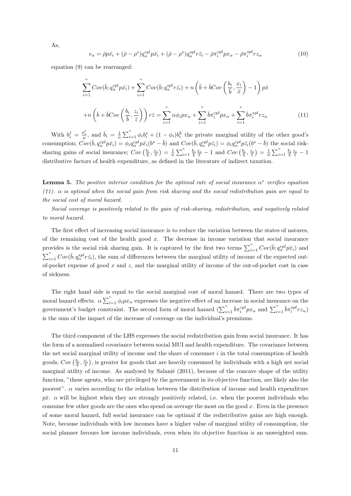$$
v_{\alpha} = \bar{\rho}p\bar{x}_i + (\bar{\rho} - \rho^s)q_{\alpha}^{cpl}p\bar{x}_i + (\bar{\rho} - \rho^s)q_{\alpha}^{spl}r\bar{z}_i - \bar{\rho}\pi_i^{cpl}px_{\alpha} - \bar{\rho}\pi_i^{spl}rz_{\alpha}
$$
\n(10)

equation (9) can be rearranged:

$$
\sum_{i=1}^{n} Cov(\bar{b}; q_{\alpha}^{cpl} p \bar{x}_i) + \sum_{i=1}^{n} Cov(\bar{b}; q_{\alpha}^{spl} r \bar{z}_i) + n \left(\bar{b} + \bar{b}Cov\left(\frac{b_i}{\bar{b}}, \frac{x_i}{\bar{x}}\right) - 1\right) p \bar{x}
$$

$$
+ n \left(\bar{b} + \bar{b}Cov\left(\frac{b_i}{\bar{b}}, \frac{z_i}{\bar{z}}\right)\right) r \bar{z} = \sum_{i=1}^{n} \alpha \phi_i p x_{\alpha} + \sum_{i=1}^{n} \bar{b} \pi_i^{cpl} p x_{\alpha} + \sum_{i=1}^{n} \bar{b} \pi_i^{spl} r z_{\alpha}
$$
(11)

With  $b_i^j = \frac{\rho_i^j}{\mu}$ , and  $\bar{b}_i = \frac{1}{n} \sum_{i=1}^n \phi_i b_i^s + (1 - \phi_i) b_i^h$  the private marginal utility of the other good's consumption;  $Cov(\bar{b}, q_{\alpha}^{cpl} p \bar{x_i}) = \phi_i q_{\alpha}^{cpl} p \bar{x_i} (b^s - \bar{b})$  and  $Cov(\bar{b}, q_{\alpha}^{cpl} p \bar{z_i}) = \phi_i q_{\alpha}^{cpl} p \bar{z_i} (b^s - \bar{b})$  the social risksharing gains of social insurance;  $Cov\left(\frac{b_i}{b}, \frac{x_i}{\bar{x}}\right) = \frac{1}{n} \sum_{i=1}^n \frac{b_i}{b} \frac{x_i}{\bar{x}} - 1$  and  $Cov\left(\frac{b_i}{b}, \frac{z_i}{\bar{x}}\right) = \frac{1}{n} \sum_{i=1}^n \frac{b_i}{b} \frac{z_i}{\bar{x}} - 1$ distributive factors of health expenditure, as defined in the literature of indirect taxation.

**Lemma 5.** The positive interior condition for the optimal rate of social insurance  $\alpha^*$  verifies equation (11).  $\alpha$  is optimal when the social gain from risk sharing and the social redistribution gain are equal to the social cost of moral hazard.

Social coverage is positively related to the gain of risk-sharing, redistribution, and negatively related to moral hazard.

The first effect of increasing social insurance is to reduce the variation between the states of natures, of the remaining cost of the health good  $x$ . The decrease in income variation that social insurance provides is the social risk sharing gain. It is captured by the first two terms  $\sum_{i=1}^{n} Cov(\bar{b}; q_{\alpha}^{cpl}\bar{p}x_i)$  and  $\sum_{i=1}^{n} Cov(\bar{b}; q_{\alpha}^{spl} r_{\bar{z}_i})$ , the sum of differences between the marginal utility of income of the expected outof-pocket expense of good  $x$  and  $z$ , and the marginal utility of income of the out-of-pocket cost in case of sickness.

The right hand side is equal to the social marginal cost of moral hazard. There are two types of moral hazard effects.  $\alpha \sum_{i=1}^{n} \phi_i p x_\alpha$  expresses the negative effect of an increase in social insurance on the government's budget constraint. The second form of moral hazard  $(\sum_{i=1}^n \bar{b} \pi_i^{cpl} p x_\alpha$  and  $\sum_{i=1}^n \bar{b} \pi_i^{spl} r z_\alpha)$ is the sum of the impact of the increase of coverage on the individual's premiums.

The third component of the LHS expresses the social redistribution gain from social insurance. It has the form of a normalised covariance between social MUI and health expenditure. The covariance between the net social marginal utility of income and the share of consumer  $i$  in the total consumption of health goods,  $Cov\left(\frac{b_i}{b}, \frac{x_i}{x}\right)$ , is greater for goods that are heavily consumed by individuals with a high net social marginal utility of income. As analysed by Salanié (2011), because of the concave shape of the utility function, "these agents, who are privileged by the government in its objective function, are likely also the poorest". α varies according to the relation between the distribution of income and health expenditure  $p\bar{x}$ .  $\alpha$  will be highest when they are strongly positively related, i.e. when the poorest individuals who consume few other goods are the ones who spend on average the most on the good  $x$ . Even in the presence of some moral hazard, full social insurance can be optimal if the redistributive gains are high enough. Note, because individuals with low incomes have a higher value of marginal utility of consumption, the social planner favours low income individuals, even when its objective function is an unweighted sum.

As,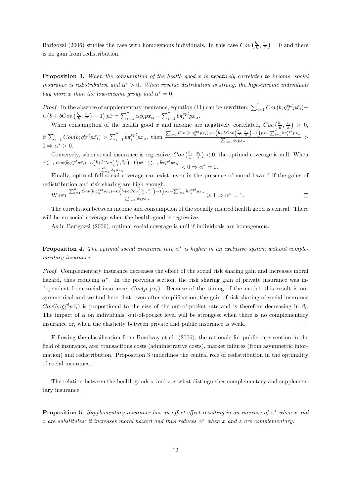Barigozzi (2006) studies the case with homogenous individuals. In this case  $Cov\left(\frac{b_i}{b}, \frac{x_i}{x}\right) = 0$  and there is no gain from redistribution.

**Proposition 3.** When the consumption of the health good x is negatively correlated to income, social insurance is redistributive and  $\alpha^* > 0$ . When reverse distribution is strong, the high-income individuals buy more x than the low-income group and  $\alpha^* = 0$ .

*Proof.* In the absence of supplementary insurance, equation (11) can be rewritten:  $\sum_{i=1}^{n} Cov(\bar{b}; q_{\alpha}^{cpl} p \bar{x}_i) +$  $\sum_{i=1} Cov(i)$  $n\left(\bar{b} + \bar{b}Cov\left(\frac{b_i}{\bar{b}}, \frac{x_i}{\bar{x}}\right) - 1\right)p\bar{x} = \sum_{i=1}^n \alpha \phi_i px_\alpha + \sum_{i=1}^n \bar{b}\pi_i^{cpl} px_\alpha.$ 

When consumption of the health good x and income are negatively correlated,  $Cov\left(\frac{b_i}{b}, \frac{x_i}{\bar{x}}\right) > 0$ , if  $\sum_{i=1}^{n} Cov(\bar{b}; q_{\alpha}^{cpl} p \bar{x_i}) > \sum_{i=1}^{n} \bar{b} \pi_i^{cpl} p x_{\alpha}$ , then  $\sum_{i=1}^n Cov(\bar{b};q_{\alpha}^{cpl}p\bar{x_i})+n\Big(\bar{b}+\bar{b}Cov\Big(\tfrac{b_i}{\bar{b}},\tfrac{x_i}{\bar{x}}\Big)-1\Big)p\bar{x}-\sum_{i=1}^n\bar{b}\pi_i^{cpl}px_{\alpha}$  $\frac{1}{\sum_{i=1}^{n} \phi_i px_{\alpha}} >$  $0 \Rightarrow \alpha^* > 0.$ 

Conversely, when social insurance is regressive,  $Cov\left(\frac{b_i}{\overline{b}}, \frac{x_i}{\overline{x}}\right) < 0$ , the optimal coverage is null. When  $\sum_{i=1}^n Cov(\bar{b};q_{\alpha}^{cpl}p\bar{x_i})+n\Big(\bar{b}+\bar{b}Cov\Big(\frac{b_i}{\bar{b}},\frac{x_i}{\bar{x}}\Big)-1\Big)p\bar{x}-\sum_{i=1}^n\bar{b}\pi_i^{cpl}px_{\alpha}$  $\frac{\sum_{i=1}^{n} \phi_i p x_\alpha}{\sum_{i=1}^{n} \phi_i p x_\alpha} < 0 \Rightarrow \alpha^* = 0.$ 

Finally, optimal full social coverage can exist, even in the presence of moral hazard if the gains of redistribution and risk sharing are high enough.

When 
$$
\frac{\sum_{i=1}^{n} \text{Cov}(\bar{b}; q_{\alpha}^{cpl} p \bar{x}_i) + n \left(\bar{b} + \bar{b} \text{Cov}\left(\frac{b_i}{\bar{b}}, \frac{x_i}{\bar{x}}\right) - 1\right) p \bar{x} - \sum_{i=1}^{n} \bar{b} \pi_i^{cpl} p x_{\alpha}}{\sum_{i=1}^{n} \phi_i p x_{\alpha}} \geq 1 \Rightarrow \alpha^* = 1.
$$

The correlation between income and consumption of the socially insured health good is central. There will be no social coverage when the health good is regressive.

As in Barigozzi (2006), optimal social coverage is null if individuals are homogenous.

**Proposition 4.** The optimal social insurance rate  $\alpha^*$  is higher in an exclusive system without complementary insurance.

Proof. Complementary insurance decreases the effect of the social risk sharing gain and increases moral hazard, thus reducing  $\alpha^*$ . In the previous section, the risk sharing gain of private insurance was independent from social insurance,  $Cov(\rho; px_i)$ . Because of the timing of the model, this result is not symmetrical and we find here that, even after simplification, the gain of risk sharing of social insurance  $Cov(\bar{b}; q_{\alpha}^{cpl} p \bar{x}_i)$  is proportional to the size of the out-of-pocket rate and is therefore decreasing in  $\beta_i$ . The impact of  $\alpha$  on individuals' out-of-pocket level will be strongest when there is no complementary insurance or, when the elasticity between private and public insurance is weak.  $\Box$ 

Following the classification from Boadway et al. (2006), the rationale for public intervention in the field of insurance, are: transactions costs (administrative costs), market failures (from asymmetric information) and redistribution. Proposition 3 underlines the central role of redistribution in the optimality of social insurance.

The relation between the health goods  $x$  and  $z$  is what distinguishes complementary and supplementary insurance.

**Proposition 5.** Supplementary insurance has an offset effect resulting in an increase of  $\alpha^*$  when x and z are substitutes; it increases moral hazard and thus reduces  $\alpha^*$  when x and z are complementary.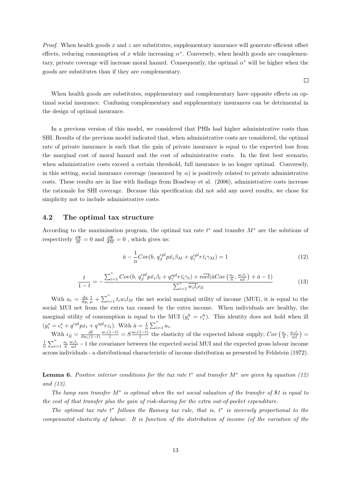*Proof.* When health goods  $x$  and  $z$  are substitutes, supplementary insurance will generate efficient offset effects, reducing consumption of x while increasing  $\alpha^*$ . Conversely, when health goods are complementary, private coverage will increase moral hazard. Consequently, the optimal  $\alpha^*$  will be higher when the goods are substitutes than if they are complementary.

 $\Box$ 

When health goods are substitutes, supplementary and complementary have opposite effects on optimal social insurance. Confusing complementary and supplementary insurances can be detrimental in the design of optimal insurance.

In a previous version of this model, we considered that PHIs had higher administrative costs than SHI. Results of the previous model indicated that, when administrative costs are considered, the optimal rate of private insurance is such that the gain of private insurance is equal to the expected loss from the marginal cost of moral hazard and the cost of administrative costs. In the first best scenario, when administrative costs exceed a certain threshold, full insurance is no longer optimal. Conversely, in this setting, social insurance coverage (measured by  $\alpha$ ) is positively related to private administrative costs. These results are in line with findings from Boadway et al. (2006), administrative costs increase the rationale for SHI coverage. Because this specification did not add any novel results, we chose for simplicity not to include administrative costs.

# 4.2 The optimal tax structure

According to the maximisation program, the optimal tax rate  $t^*$  and transfer  $M^*$  are the solutions of respectively  $\frac{d\Psi}{dt} = 0$  and  $\frac{d\Psi}{dM} = 0$ , which gives us:

$$
\bar{a} - \frac{1}{n}Cov(b, q_\beta^{cpl}p\bar{x}_i\beta_M + q_\gamma^{cpl}r\bar{z}_i\gamma_M) = 1
$$
\n(12)

$$
\frac{t}{1-t} = -\frac{\sum_{i=1}^{n} Cov(b, q_\beta^{cpl} p\bar{x}_i\beta_t + q_\gamma^{spl} r\bar{z}_i\gamma_t) + n\overline{wl}(\bar{a}Cov\left(\frac{a_i}{\bar{a}}, \frac{w_i l_i}{wl}\right) + \bar{a} - 1)}{\sum_{i=1}^{n} \overline{wl}_i \bar{l}_i \epsilon_{ll}}
$$
(13)

With  $a_i = \frac{du}{dy_i} \frac{1}{\mu} + \sum_{i=1}^n t_i w_i l_M$  the net social marginal utility of income (MUI), it is equal to the social MUI net from the extra tax caused by the extra income. When individuals are healthy, the marginal utility of consumption is equal to the MUI  $(y_i^h = c_i^h)$ . This identity does not hold when ill  $(y_i^s = c_i^s + q^{cpl} px_i + q^{spl} rz_i)$ . With  $\bar{a} = \frac{1}{n} \sum_{i=1}^n a_i$ .

With  $\epsilon_{\bar{l}\bar{l}} = \frac{\partial \bar{l}}{\partial w_i(1-t)}$  $\frac{w_i(1-t)}{\bar{l}} = S \frac{w_i(1-t)}{\bar{l}}$  the elasticity of the expected labour supply;  $Cov\left(\frac{a_i}{\bar{a}}, \frac{w_i l_i}{\bar{w}\bar{l}}\right) =$  $\frac{1}{n}\sum_{i=1}^n \frac{a_i}{\bar{a}} \frac{w_i l_i}{\bar{w}l} - 1$  the covariance between the expected social MUI and the expected gross labour income across individuals - a distributional characteristic of income distribution as presented by Feldstein (1972).

**Lemma 6.** Positive interior conditions for the tax rate  $t^*$  and transfer  $M^*$  are given by equation (12) and (13).

The lump sum transfer  $M^*$  is optimal when the net social valuation of the transfer of \$1 is equal to the cost of that transfer plus the gain of risk-sharing for the extra out-of-pocket expenditure.

The optimal tax rate  $t^*$  follows the Ramsey tax rule, that is,  $t^*$  is inversely proportional to the compensated elasticity of labour. It is function of the distribution of income (of the variation of the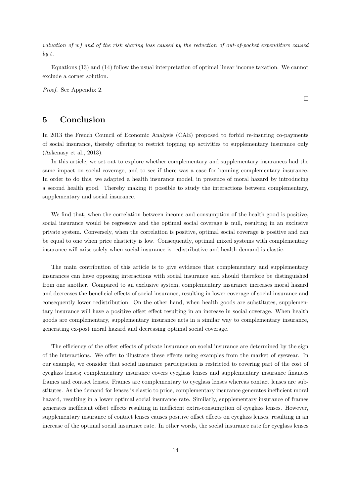valuation of w) and of the risk sharing loss caused by the reduction of out-of-pocket expenditure caused by t.

Equations (13) and (14) follow the usual interpretation of optimal linear income taxation. We cannot exclude a corner solution.

Proof. See Appendix 2.

# 5 Conclusion

In 2013 the French Council of Economic Analysis (CAE) proposed to forbid re-insuring co-payments of social insurance, thereby offering to restrict topping up activities to supplementary insurance only (Askenasy et al., 2013).

In this article, we set out to explore whether complementary and supplementary insurances had the same impact on social coverage, and to see if there was a case for banning complementary insurance. In order to do this, we adapted a health insurance model, in presence of moral hazard by introducing a second health good. Thereby making it possible to study the interactions between complementary, supplementary and social insurance.

We find that, when the correlation between income and consumption of the health good is positive, social insurance would be regressive and the optimal social coverage is null, resulting in an exclusive private system. Conversely, when the correlation is positive, optimal social coverage is positive and can be equal to one when price elasticity is low. Consequently, optimal mixed systems with complementary insurance will arise solely when social insurance is redistributive and health demand is elastic.

The main contribution of this article is to give evidence that complementary and supplementary insurances can have opposing interactions with social insurance and should therefore be distinguished from one another. Compared to an exclusive system, complementary insurance increases moral hazard and decreases the beneficial effects of social insurance, resulting in lower coverage of social insurance and consequently lower redistribution. On the other hand, when health goods are substitutes, supplementary insurance will have a positive offset effect resulting in an increase in social coverage. When health goods are complementary, supplementary insurance acts in a similar way to complementary insurance, generating ex-post moral hazard and decreasing optimal social coverage.

The efficiency of the offset effects of private insurance on social insurance are determined by the sign of the interactions. We offer to illustrate these effects using examples from the market of eyewear. In our example, we consider that social insurance participation is restricted to covering part of the cost of eyeglass lenses; complementary insurance covers eyeglass lenses and supplementary insurance finances frames and contact lenses. Frames are complementary to eyeglass lenses whereas contact lenses are substitutes. As the demand for lenses is elastic to price, complementary insurance generates inefficient moral hazard, resulting in a lower optimal social insurance rate. Similarly, supplementary insurance of frames generates inefficient offset effects resulting in inefficient extra-consumption of eyeglass lenses. However, supplementary insurance of contact lenses causes positive offset effects on eveglass lenses, resulting in an increase of the optimal social insurance rate. In other words, the social insurance rate for eyeglass lenses

 $\Box$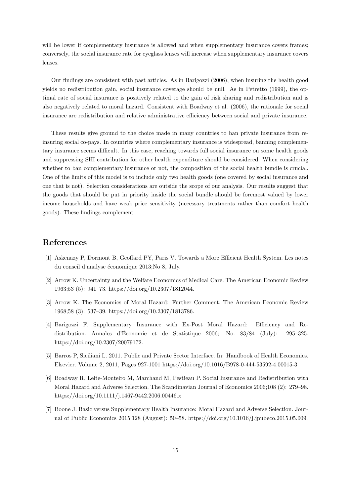will be lower if complementary insurance is allowed and when supplementary insurance covers frames; conversely, the social insurance rate for eyeglass lenses will increase when supplementary insurance covers lenses.

Our findings are consistent with past articles. As in Barigozzi (2006), when insuring the health good yields no redistribution gain, social insurance coverage should be null. As in Petretto (1999), the optimal rate of social insurance is positively related to the gain of risk sharing and redistribution and is also negatively related to moral hazard. Consistent with Boadway et al. (2006), the rationale for social insurance are redistribution and relative administrative efficiency between social and private insurance.

These results give ground to the choice made in many countries to ban private insurance from reinsuring social co-pays. In countries where complementary insurance is widespread, banning complementary insurance seems difficult. In this case, reaching towards full social insurance on some health goods and suppressing SHI contribution for other health expenditure should be considered. When considering whether to ban complementary insurance or not, the composition of the social health bundle is crucial. One of the limits of this model is to include only two health goods (one covered by social insurance and one that is not). Selection considerations are outside the scope of our analysis. Our results suggest that the goods that should be put in priority inside the social bundle should be foremost valued by lower income households and have weak price sensitivity (necessary treatments rather than comfort health goods). These findings complement

# References

- [1] Askenazy P, Dormont B, Geoffard PY, Paris V. Towards a More Efficient Health System. Les notes du conseil d'analyse économique 2013;No 8, July.
- [2] Arrow K. Uncertainty and the Welfare Economics of Medical Care. The American Economic Review 1963;53 (5): 941–73. https://doi.org/10.2307/1812044.
- [3] Arrow K. The Economics of Moral Hazard: Further Comment. The American Economic Review 1968;58 (3): 537–39. https://doi.org/10.2307/1813786.
- [4] Barigozzi F. Supplementary Insurance with Ex-Post Moral Hazard: Efficiency and Redistribution. Annales d'Economie et de Statistique 2006; No. 83/84 (July): 295–325. ´ https://doi.org/10.2307/20079172.
- [5] Barros P, Siciliani L. 2011. Public and Private Sector Interface. In: Handbook of Health Economics. Elsevier. Volume 2, 2011, Pages 927-1001 https://doi.org/10.1016/B978-0-444-53592-4.00015-3
- [6] Boadway R, Leite-Monteiro M, Marchand M, Pestieau P. Social Insurance and Redistribution with Moral Hazard and Adverse Selection. The Scandinavian Journal of Economics 2006;108 (2): 279–98. https://doi.org/10.1111/j.1467-9442.2006.00446.x
- [7] Boone J. Basic versus Supplementary Health Insurance: Moral Hazard and Adverse Selection. Journal of Public Economics 2015;128 (August): 50–58. https://doi.org/10.1016/j.jpubeco.2015.05.009.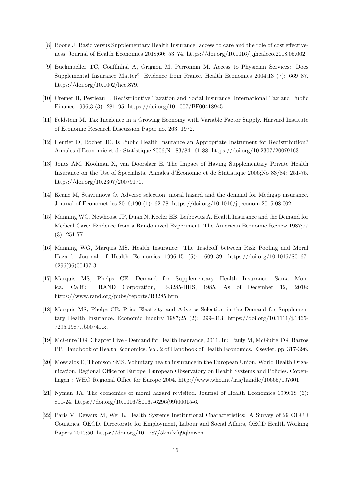- [8] Boone J. Basic versus Supplementary Health Insurance: access to care and the role of cost effectiveness. Journal of Health Economics 2018;60: 53–74. https://doi.org/10.1016/j.jhealeco.2018.05.002.
- [9] Buchmueller TC, Couffinhal A, Grignon M, Perronnin M. Access to Physician Services: Does Supplemental Insurance Matter? Evidence from France. Health Economics 2004;13 (7): 669–87. https://doi.org/10.1002/hec.879.
- [10] Cremer H, Pestieau P. Redistributive Taxation and Social Insurance. International Tax and Public Finance 1996;3 (3): 281–95. https://doi.org/10.1007/BF00418945.
- [11] Feldstein M. Tax Incidence in a Growing Economy with Variable Factor Supply. Harvard Institute of Economic Research Discussion Paper no. 263, 1972.
- [12] Henriet D, Rochet JC. Is Public Health Insurance an Appropriate Instrument for Redistribution? Annales d'Economie et de Statistique 2006;No 83/84: 61-88. https://doi.org/10.2307/20079163. ´
- [13] Jones AM, Koolman X, van Doorslaer E. The Impact of Having Supplementary Private Health Insurance on the Use of Specialists. Annales d'Economie et de Statistique 2006;No 83/84: 251-75. ´ https://doi.org/10.2307/20079170.
- [14] Keane M, Stavrunova O. Adverse selection, moral hazard and the demand for Medigap insurance. Journal of Econometrics 2016;190 (1): 62-78. https://doi.org/10.1016/j.jeconom.2015.08.002.
- [15] Manning WG, Newhouse JP, Duan N, Keeler EB, Leibowitz A. Health Insurance and the Demand for Medical Care: Evidence from a Randomized Experiment. The American Economic Review 1987;77 (3): 251-77.
- [16] Manning WG, Marquis MS. Health Insurance: The Tradeoff between Risk Pooling and Moral Hazard. Journal of Health Economics 1996;15 (5): 609–39. https://doi.org/10.1016/S0167- 6296(96)00497-3.
- [17] Marquis MS, Phelps CE. Demand for Supplementary Health Insurance. Santa Monica, Calif.: RAND Corporation, R-3285-HHS, 1985. As of December 12, 2018: https://www.rand.org/pubs/reports/R3285.html
- [18] Marquis MS, Phelps CE. Price Elasticity and Adverse Selection in the Demand for Supplementary Health Insurance. Economic Inquiry 1987;25 (2): 299–313. https://doi.org/10.1111/j.1465- 7295.1987.tb00741.x.
- [19] McGuire TG. Chapter Five Demand for Health Insurance, 2011. In: Pauly M, McGuire TG, Barros PP, Handbook of Health Economics. Vol. 2 of Handbook of Health Economics. Elsevier, pp. 317-396.
- [20] Mossialos E, Thomson SMS. Voluntary health insurance in the European Union. World Health Organization. Regional Office for Europe European Observatory on Health Systems and Policies. Copenhagen : WHO Regional Office for Europe 2004. http://www.who.int/iris/handle/10665/107601
- [21] Nyman JA. The economics of moral hazard revisited. Journal of Health Economics 1999;18 (6): 811-24. https://doi.org/10.1016/S0167-6296(99)00015-6.
- [22] Paris V, Devaux M, Wei L. Health Systems Institutional Characteristics: A Survey of 29 OECD Countries. OECD, Directorate for Employment, Labour and Social Affairs, OECD Health Working Papers 2010;50. https://doi.org/10.1787/5kmfxfq9qbnr-en.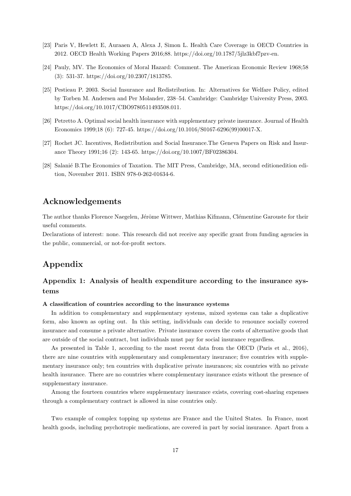- [23] Paris V, Hewlett E, Auraaen A, Alexa J, Simon L. Health Care Coverage in OECD Countries in 2012. OECD Health Working Papers 2016;88. https://doi.org/10.1787/5jlz3kbf7pzv-en.
- [24] Pauly, MV. The Economics of Moral Hazard: Comment. The American Economic Review 1968;58 (3): 531-37. https://doi.org/10.2307/1813785.
- [25] Pestieau P. 2003. Social Insurance and Redistribution. In: Alternatives for Welfare Policy, edited by Torben M. Andersen and Per Molander, 238–54. Cambridge: Cambridge University Press, 2003. https://doi.org/10.1017/CBO9780511493508.011.
- [26] Petretto A. Optimal social health insurance with supplementary private insurance. Journal of Health Economics 1999;18 (6): 727-45. https://doi.org/10.1016/S0167-6296(99)00017-X.
- [27] Rochet JC. Incentives, Redistribution and Social Insurance.The Geneva Papers on Risk and Insurance Theory 1991;16 (2): 143-65. https://doi.org/10.1007/BF02386304.
- [28] Salanié B.The Economics of Taxation. The MIT Press, Cambridge, MA, second editionedition edition, November 2011. ISBN 978-0-262-01634-6.

# Acknowledgements

The author thanks Florence Naegelen, Jérôme Wittwer, Mathias Kifmann, Clémentine Garouste for their useful comments.

Declarations of interest: none. This research did not receive any specific grant from funding agencies in the public, commercial, or not-for-profit sectors.

# Appendix

# Appendix 1: Analysis of health expenditure according to the insurance systems

## A classification of countries according to the insurance systems

In addition to complementary and supplementary systems, mixed systems can take a duplicative form, also known as opting out. In this setting, individuals can decide to renounce socially covered insurance and consume a private alternative. Private insurance covers the costs of alternative goods that are outside of the social contract, but individuals must pay for social insurance regardless.

As presented in Table 1, according to the most recent data from the OECD (Paris et al., 2016), there are nine countries with supplementary and complementary insurance; five countries with supplementary insurance only; ten countries with duplicative private insurances; six countries with no private health insurance. There are no countries where complementary insurance exists without the presence of supplementary insurance.

Among the fourteen countries where supplementary insurance exists, covering cost-sharing expenses through a complementary contract is allowed in nine countries only.

Two example of complex topping up systems are France and the United States. In France, most health goods, including psychotropic medications, are covered in part by social insurance. Apart from a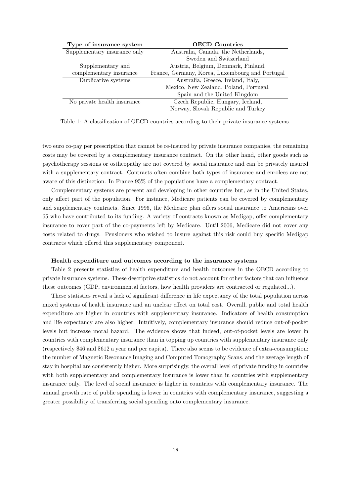| Type of insurance system     | <b>OECD</b> Countries                           |
|------------------------------|-------------------------------------------------|
| Supplementary insurance only | Australia, Canada, the Netherlands,             |
|                              | Sweden and Switzerland                          |
| Supplementary and            | Austria, Belgium, Denmark, Finland,             |
| complementary insurance      | France, Germany, Korea, Luxembourg and Portugal |
| Duplicative systems          | Australia, Greece, Ireland, Italy,              |
|                              | Mexico, New Zealand, Poland, Portugal,          |
|                              | Spain and the United Kingdom                    |
| No private health insurance  | Czech Republic, Hungary, Iceland,               |
|                              | Norway, Slovak Republic and Turkey              |

Table 1: A classification of OECD countries according to their private insurance systems.

two euro co-pay per prescription that cannot be re-insured by private insurance companies, the remaining costs may be covered by a complementary insurance contract. On the other hand, other goods such as psychotherapy sessions or ostheopathy are not covered by social insurance and can be privately insured with a supplementary contract. Contracts often combine both types of insurance and enrolees are not aware of this distinction. In France 95% of the populations have a complementary contract.

Complementary systems are present and developing in other countries but, as in the United States, only affect part of the population. For instance, Medicare patients can be covered by complementary and supplementary contracts. Since 1996, the Medicare plan offers social insurance to Americans over 65 who have contributed to its funding. A variety of contracts known as Medigap, offer complementary insurance to cover part of the co-payments left by Medicare. Until 2006, Medicare did not cover any costs related to drugs. Pensioners who wished to insure against this risk could buy specific Medigap contracts which offered this supplementary component.

#### Health expenditure and outcomes according to the insurance systems

Table 2 presents statistics of health expenditure and health outcomes in the OECD according to private insurance systems. These descriptive statistics do not account for other factors that can influence these outcomes (GDP, environmental factors, how health providers are contracted or regulated...).

These statistics reveal a lack of significant difference in life expectancy of the total population across mixed systems of health insurance and an unclear effect on total cost. Overall, public and total health expenditure are higher in countries with supplementary insurance. Indicators of health consumption and life expectancy are also higher. Intuitively, complementary insurance should reduce out-of-pocket levels but increase moral hazard. The evidence shows that indeed, out-of-pocket levels are lower in countries with complementary insurance than in topping up countries with supplementary insurance only (respectively \$46 and \$612 a year and per capita). There also seems to be evidence of extra-consumption: the number of Magnetic Resonance Imaging and Computed Tomography Scans, and the average length of stay in hospital are consistently higher. More surprisingly, the overall level of private funding in countries with both supplementary and complementary insurance is lower than in countries with supplementary insurance only. The level of social insurance is higher in countries with complementary insurance. The annual growth rate of public spending is lower in countries with complementary insurance, suggesting a greater possibility of transferring social spending onto complementary insurance.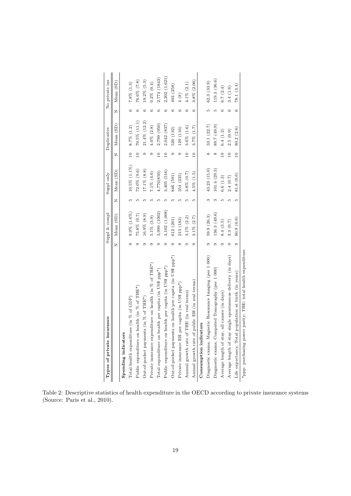| Types of private insurance                                                  |   | Suppl & compl     |   | Suppl only         |                          | Duplicative     |   | No private ins   |
|-----------------------------------------------------------------------------|---|-------------------|---|--------------------|--------------------------|-----------------|---|------------------|
|                                                                             | z | Mean (SD)         | Z | Mean (SD)          | z                        | Mean (SD)       | z | Mean (SD)        |
| Spending indicators                                                         |   |                   |   |                    |                          |                 |   |                  |
| Total health expenditure (in % of GDP)                                      |   | $9.9\%$ $(1.6\%)$ |   | $10.5\%$ $(1.1\%)$ | $\overline{10}$          | 8.7% (1.2)      |   | $7.8\%$ (1.3)    |
| Public expenditure on health (in % of THE*)                                 |   | $75.8\%$ (9.7)    |   | $72.0\%$ (9.6)     | $\circ$                  | 70.5% (11.1)    |   | $76.6\%$ $(7.8)$ |
| Out-of-pocket payments (in $\%$ of THE*)                                    |   | $16.9\%$ (8.9)    |   | $17.1\%$ (8.8)     |                          | 21.4% (12.2)    |   | 19.2% (5.3)      |
| Private insurance expenditure on health (in % of THE*)                      |   | $5.1\% (3.9)$     |   | $7.1\%$ (4.6)      |                          | $4.0\%$ $(2.8)$ |   | $0.2\% (0.4)$    |
| Total expenditure on health per capita (in US\$ ppp <sup>*</sup> )          |   | 3,999 (1002)      |   | 4,776(850)         |                          | 2,799 (950)     |   | 2,774 (1843)     |
| health per capita (in US\$ ppp <sup>*)</sup><br>Public expenditure on       |   | 3,102 (1,008)     |   | 3,405 (516)        |                          | 2,042 (837)     |   | 2,202(1,621)     |
| Out-of-pocket payments on health per capita (in US\$ ppp*)                  |   | 612 (201)         |   | 846 (591)          |                          | 520 (132)       |   | 493 (258)        |
| per capita (in US\$ ppp <sup>*</sup> )<br>Private insurance EH <sub>1</sub> |   | 213 (183)         |   | 354 (235)          |                          | 129 (116)       |   | 4(8)             |
| THE (in real terms)<br>Annual growth rate of                                |   | $3.1\% (2.2)$     |   | $3.8\%$ (0.7)      | Q                        | $3.6\%$ (1.6)   |   | $4.1\%$ (2.1)    |
| public EH (in real terms)<br>Annual growth rate of                          |   | $3.1\% (2.7)$     | S | $4.5\%$ (1.5)      | $\overline{a}$           | $3.7\%$ $(1.7)$ | Ċ | $3.8\%$ (2.06)   |
| Consumption indicators                                                      |   |                   |   |                    |                          |                 |   |                  |
| Diagnostic exams, Magnetic Resonance Imaging (per 1 000)                    |   | 59.9(26.3)        |   | 43.23 (15.0)       | ∞                        | 33.1(22.7)      |   | 62.3(33.9)       |
| Diagnostic exams, Computed Tomography (per 1 000)                           |   | 136.3(49.6)       |   | 101.4(29.3)        |                          | 89.7 (49.9)     |   | 119.3 (36.6)     |
| all causes (in days)<br>Average length of stay,                             |   | 8.4(3.5)          |   | 6.6(1.3)           | $\overline{\phantom{0}}$ | 6.4(1.2)        |   | 6.7 $(2.4)$      |
| single spontaneous delivery (in days)<br>Average length of stay             |   | 3.3(0.7)          |   | 2.4(0.7)           | $\circ$                  | 2.5(0.9)        |   | 3.4(1.6)         |
| population at birth (in years)<br>Life expectancy, Total                    |   | 80.9(0.6)         | 5 | 81.8(0.6)          | $\overline{10}$          | 80.2(2.6)       | ు | 78.1(3.4)        |

Table 2: Descriptive statistics of health expenditure in the OECD according to private insurance systems (Source: Paris et al., 2010).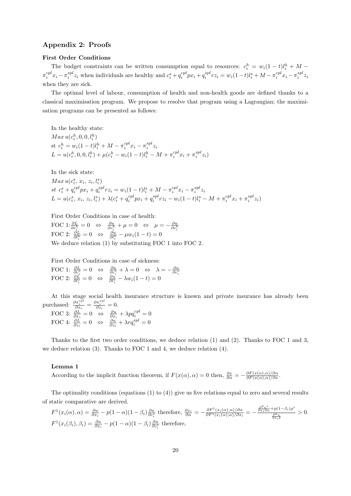# Appendix 2: Proofs

#### First Order Conditions

The budget constraints can be written consumption equal to resources:  $c_i^h = w_i(1-t)l_i^h + M \pi_i^{cpl} x_i - \pi_i^{spl} z_i$  when individuals are healthy and  $c_i^s + q_i^{cpl} px_i + q_i^{spl} rz_i = w_i(1-t)l_i^s + M - \pi_i^{cpl} x_i - \pi_i^{spl} z_i$ when they are sick.

The optimal level of labour, consumption of health and non-health goods are defined thanks to a classical maximisation program. We propose to resolve that program using a Lagrangian; the maximisation programs can be presented as follows:

In the healthy state:  $Max u(c_i^h, 0, 0, l_i^h)$ st  $c_i^h = w_i(1-t)l_i^h + M - \pi_i^{cpl}x_i - \pi_i^{spl}z_i$  $L = u(c_i^h, 0, 0, l_i^h) + \mu(c_i^h - w_i(1-t)l_i^h - M + \pi_i^{cpl}x_i + \pi_i^{spl}z_i)$ 

In the sick state:

 $Max u(c_i^s, x_i, z_i, l_i^s)$ st  $c_i^s + q_i^{cpl} px_i + q_i^{spl} rz_i = w_i(1-t)l_i^s + M - \pi_i^{cpl} x_i - \pi_i^{spl} z_i$  $L = u(c_i^s, x_i, z_i, l_i^s) + \lambda(c_i^s + q_i^{cpl}px_i + q_i^{spl}rz_i - w_i(1-t)l_i^s - M + \pi_i^{cpl}x_i + \pi_i^{spl}z_i)$ 

First Order Conditions in case of health:

FOC 1:  $\frac{\partial L}{\partial c_i^h} = 0 \Leftrightarrow \frac{\partial u}{\partial c_i^h} + \mu = 0 \Leftrightarrow \mu = -\frac{\partial u}{\partial c_i^h}$ <br>FOC 2:  $\frac{\partial L}{\partial l_i^h} = 0 \Leftrightarrow \frac{\partial u}{\partial l_i^h} - \mu w_i (1 - t) = 0$ We deduce relation (1) by substituting FOC 1 into FOC 2.

First Order Conditions in case of sickness:  $\begin{array}{l} {\rm FOC\ 1:\ \frac{\partial L_s}{\partial c_i^s}=0 \quad \Leftrightarrow \quad \frac{\partial u}{\partial c_i^s}+\lambda=0 \quad \Leftrightarrow \quad \lambda=-\frac{\partial u}{\partial c_i^s} }{\rm FOC\ 2:\ \frac{\partial L}{\partial l_i^s}=0 \quad \Leftrightarrow \quad \frac{\partial u}{\partial l_i^s}-\lambda w_i(1-t)=0 } \end{array}$ 

At this stage social health insurance structure is known and private insurance has already been purchased:  $\frac{\partial \pi_i^{cpl}}{\partial x_i} = \frac{\partial \pi_i^{spl}}{\partial z_i} = 0.$ 

FOC 3: 
$$
\frac{\partial L}{\partial x_i} = 0 \Leftrightarrow \frac{\partial u}{\partial x_i} + \lambda p q_i^{cpl} = 0
$$
  
FOC 4:  $\frac{\partial L}{\partial z_i} = 0 \Leftrightarrow \frac{\partial u}{\partial z_i} + \lambda r q_i^{spl} = 0$ 

Thanks to the first two order conditions, we deduce relation (1) and (2). Thanks to FOC 1 and 3, we deduce relation (3). Thanks to FOC 1 and 4, we deduce relation (4).

#### Lemma 1

According to the implicit function theorem, if  $F(x(\alpha), \alpha) = 0$  then,  $\frac{\partial x}{\partial \alpha} = -\frac{\partial F(x(\alpha), \alpha)}{\partial F(x(\alpha), \alpha)/\partial x}$ .

The optimality conditions (equations  $(1)$  to  $(4)$ ) give us five relations equal to zero and several results of static comparative are derived.  $2n-1$ 

$$
F^{1}(x_{i}(\alpha),\alpha) = \frac{\partial u}{\partial x_{i}} - p(1-\alpha)(1-\beta_{i})\frac{\partial u}{\partial c_{i}^{s}} \text{ therefore, } \frac{\partial x_{i}}{\partial \alpha} = -\frac{\partial F^{1}(x_{i}(\alpha),\alpha)/\partial \alpha}{\partial F^{1}(x_{i}(\alpha),\alpha)/\partial x_{i}} = -\frac{\frac{\partial^{2}u^{s}}{\partial x_{i}\partial\alpha} + p(1-\beta_{i})\rho^{s}}{\frac{\partial^{2}u}{\partial x_{i}^{2}}} > 0.
$$
  

$$
F^{1}(x_{i}(\beta_{i}),\beta_{i}) = \frac{\partial u}{\partial x_{i}} - p(1-\alpha)(1-\beta_{i})\frac{\partial u}{\partial c_{i}^{s}} \text{ therefore,}
$$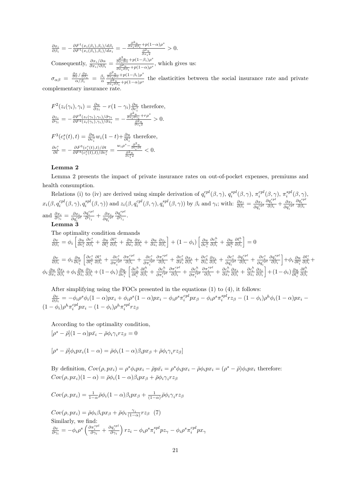$\frac{\partial x_i}{\partial \beta_i} = -\frac{\partial F^1(x_i(\beta_i),\beta_i)/d\beta_i}{\partial F^1(x_i(\beta_i),\beta_i)/dx_i} = -\frac{\frac{\partial^2 u}{\partial x_i d\beta_i} + p(1-\alpha)\rho^s}{\frac{\partial^2 u}{\partial x_i d\beta_i}}$  $rac{\partial^2 u}{\partial x_i^2}$  $> 0.$ Consequently,  $\frac{\partial x_i/\partial \alpha}{\partial x_i/\partial \beta_i} = \frac{\frac{\partial^2 u}{\partial x_i \partial \alpha} + p(1-\beta_i)\rho^s}{\frac{\partial^2 u}{\partial \beta_i} + p(1-\alpha)\rho^s}$  $\frac{\frac{\partial x_i}{\partial \alpha}P(1-\beta_i)}{\frac{\partial^2 u}{\partial x_i \partial \beta_i} + p(1-\alpha)\rho^s}$ , which gives us:  $\sigma_{\alpha\beta} \ =\ \frac{\frac{\partial x}{\partial\alpha}/\frac{\partial x}{\partial\beta_i}}{\alpha/\beta_i} \ =\ \frac{\beta_i}{\alpha}$  $\frac{\partial^2 u}{\partial x_i \partial \alpha} + p(1-\beta_i) \rho^s$  $\frac{\partial^2 u}{\partial^2} \frac{\partial^2 u}{\partial \beta^2} + p(1-\alpha)\rho^s$  the elasticities between the social insurance rate and private

complementary insurance rate.

$$
F^{2}(z_{i}(\gamma_{i}),\gamma_{i}) = \frac{\partial u}{\partial z_{i}} - r(1-\gamma_{i})\frac{\partial u}{\partial c_{i}^{s}} \text{ therefore,}
$$
\n
$$
\frac{\partial z_{i}}{\partial \gamma_{i}} = -\frac{\partial F^{2}(z_{i}(\gamma_{i}),\gamma_{i})/\partial \gamma_{i}}{\partial F^{2}(z_{i}(\gamma_{i}),\gamma_{i})/\partial z_{i}} = -\frac{\frac{\partial^{2} u}{\partial z_{i} \partial \gamma_{i}} + r\rho^{s}}{\frac{\partial^{2} u}{\partial z_{i} \partial z}} > 0.
$$
\n
$$
F^{3}(c_{i}^{s}(t),t) = \frac{\partial u}{\partial c_{i}^{s}} w_{i}(1-t) + \frac{\partial u}{\partial l_{i}^{s}} \text{ therefore,}
$$
\n
$$
\frac{\partial c_{i}^{s}}{\partial t} = -\frac{\partial F^{3}(c_{i}^{s}(t),t)/\partial t}{\partial F^{3}(c_{i}^{s}(t),t)/\partial c_{i}^{s}} = \frac{w_{i}\rho^{s} - \frac{\partial^{2} u}{\partial l_{i}^{s}}}{\frac{\partial^{2} u}{\partial c_{i}^{s}}}\n< 0.
$$

## Lemma 2

Lemma 2 presents the impact of private insurance rates on out-of-pocket expenses, premiums and health consumption.

Relations (i) to (iv) are derived using simple derivation of  $q_i^{cpl}(\beta, \gamma)$ ,  $q_i^{spl}(\beta, \gamma)$ ,  $\pi_i^{cpl}(\beta, \gamma)$ ,  $\pi_i^{spl}(\beta, \gamma)$ ,  $x_i(\beta, q_i^{cpl}(\beta, \gamma), q_i^{spl}(\beta, \gamma))$  and  $z_i(\beta, q_i^{cpl}(\beta, \gamma), q_i^{spl}(\beta, \gamma))$  by  $\beta_i$  and  $\gamma_i$ ; with:  $\frac{\partial x_i}{\partial \beta_i} = \frac{\partial x_i}{\partial q_i^{cpl}}$  $\frac{\partial q_i^{cpl}}{\partial \beta_i} + \frac{\partial x_i}{\partial q_i^{spl}}$  $\frac{\partial q_i^{spl}}{\partial \beta_i}$ and  $\frac{\partial x_i}{\partial \gamma_i} = \frac{\partial x_i}{\partial q_i^{cpl}}$  $\frac{\partial q_i^{cpl}}{\partial \gamma_i}+\frac{\partial x_i}{\partial q_i^{spl}}$  $\frac{\partial q_i^{spl}}{\partial {\gamma}_i}.$ Lemma<sub>3</sub>

The optimality condition demands

 $\frac{\partial v}{\partial \beta_i} = \phi_i \left[ \frac{\partial u}{\partial c_i^s} \right]$  $\frac{\partial c_i^s}{\partial \beta_i} + \frac{\partial u}{\partial l_i^s}$  $\frac{\partial l_i^s}{\partial \beta_i} + \frac{\partial u}{\partial x_i} \frac{\partial x_i}{\partial \beta_i} + \frac{\partial u}{\partial z_i} \frac{\partial z_i}{\partial \beta_i} + (1 - \phi_i) \left[ \frac{\partial u}{\partial c_i^h} \right]$ i  $\frac{\partial c_i^h}{\partial \beta_i} + \frac{\partial u}{\partial l_i^h}$ i  $\frac{\partial l_i^h}{\partial \beta_i}$  = 0  $\frac{\partial v}{\partial \beta_i} = \phi_i \frac{\partial u}{\partial c_i^s}$  $\left[\frac{\partial c_{i}^{s}}{\partial l_{i}^{s}}\right]$  $\frac{\partial l_i^s}{\partial \beta_i} + \frac{\partial c_i^s}{\partial \pi_i^{cpl}}$  $\frac{\partial \pi_{i}^{cpl}}{\partial \beta_{i}} + \frac{\partial c_{i}^{s}}{\partial \pi_{i}^{spl}}$  $\frac{\partial \pi_i^{spl}}{\partial \beta_i} + \frac{\partial c_i^s}{\partial x_i} \frac{\partial x_i}{\partial \beta_i} + \frac{\partial c_i^s}{\partial z_i} \frac{\partial z_i}{\partial \beta_i} + \frac{\partial c_i^s}{\partial q_i^{cpl}}$  $\frac{\partial q_i^{cpl}}{\partial \beta_i} + \frac{\partial c_i^s}{\partial q_i^{spl}}$  $\left[\frac{\partial q_{i}^{spl}}{\partial\beta_{i}}\right]+\phi_{i}\frac{\partial u}{\partial l_{i}^{s}}$  $\frac{\partial l_i^s}{\partial \beta_i} +$  $\phi_i \frac{\partial u}{\partial x_i} \frac{\partial x_i}{\partial \beta_i} + \phi_i \frac{\partial u}{\partial z_i} \frac{\partial z_i}{\partial \beta_i} + (1 - \phi_i) \frac{\partial u}{\partial c_i^h}$  $\left[\frac{\partial c_i^h}{\partial l_i^h}\right]$  $\frac{\partial l_i^h}{\partial \beta_i} + \frac{\partial c_i^h}{\partial \pi_i^{cpl}}$  $\frac{\partial \pi_i^{cpl}}{\partial \beta_i} + \frac{\partial c_i^h}{\partial \pi_i^{spl}}$  $\frac{\partial \pi_i^{spl}}{\partial \beta_i} + \frac{\partial c_i^h}{\partial x_i} \frac{\partial x_i}{\partial \beta_i} + \frac{\partial c_i^h}{\partial z_i} \frac{\partial z_i}{\partial \beta_i} + (1 - \phi_i) \frac{\partial u}{\partial l_i^h}$  $\frac{\partial l_i^h}{\partial \beta_i}$ 

After simplifying using the FOCs presented in the equations (1) to (4), it follows:  $\frac{\partial v}{\partial \beta_i} = -\phi_i \rho^s \phi_i (1-\alpha) p x_i + \phi_i \rho^s (1-\alpha) p x_i - \phi_i \rho^s \pi_i^{cpl} p x_\beta - \phi_i \rho^s \pi_i^{spl} r z_\beta - (1-\phi_i) \rho^h \phi_i (1-\alpha) p x_i - \phi_i \rho^s \phi_i^{cpl} p x_\beta$  $(1 - \phi_i)\rho^h \pi_i^{cpl} px_i - (1 - \phi_i)\rho^h \pi_i^{spl} rz_\beta$ 

According to the optimality condition,

$$
[\rho^s - \bar{\rho}](1 - \alpha)p\bar{x}_i - \bar{\rho}\phi_i\gamma_i r z_{\beta} = 0
$$

$$
[\rho^s - \bar{\rho}]\phi_i p x_i (1 - \alpha) = \bar{\rho}\phi_i (1 - \alpha)\beta_i p x_\beta + \bar{\rho}\phi_i \gamma_i r z_\beta]
$$

By definition,  $Cov(\rho, px_i) = \rho^s \phi_i px_i - \bar{\rho}p\bar{x}_i = \rho^s \phi_i px_i - \bar{\rho} \phi_i px_i = (\rho^s - \bar{\rho})\phi_i px_i$  therefore:  $Cov(\rho, px_i)(1-\alpha) = \bar{\rho}\phi_i(1-\alpha)\beta_i px_\beta + \bar{\rho}\phi_i\gamma_i rz_\beta$ 

$$
Cov(\rho, px_i) = \frac{1}{1-\alpha}\bar{\rho}\phi_i(1-\alpha)\beta_i px_\beta + \frac{1}{(1-\alpha)}\bar{\rho}\phi_i\gamma_i rz_\beta
$$

 $Cov(\rho, px_i) = \bar{\rho}\phi_i \beta_i px_{\beta} + \bar{\rho}\phi_i \frac{\gamma_i}{(1-\alpha)}rz_{\beta}$  (7) Similarly, we find:  $\frac{\partial v}{\partial \gamma_i} = -\phi_i \rho^s \left( \frac{\partial \pi_i^{spl}}{\partial \gamma_i} + \frac{\partial q_i^{spl}}{\partial \gamma_i} \right) r z_i - \phi_i \rho^s \pi_i^{spl} p z_\gamma - \phi_i \rho^s \pi_i^{cpl} p x_\gamma$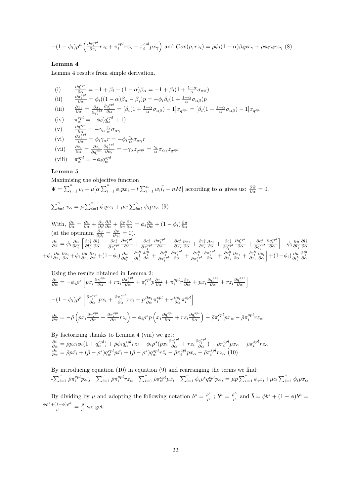$$
-(1-\phi_i)\rho^h\left(\frac{\partial \pi_i^{spl}}{\partial \gamma_i}rz_i+\pi_i^{spl}rz_\gamma+\pi_i^{spl}px_\gamma\right) \text{ and } Cov(\rho, rz_i)=\bar{\rho}\phi_i(1-\alpha)\beta_ipx_\gamma+\bar{\rho}\phi_i\gamma_irz_\gamma \tag{8}.
$$

## Lemma 4

Lemma 4 results from simple derivation.

(i) 
$$
\frac{\partial q_i^{cpl}}{\partial \alpha} = -1 + \beta_i - (1 - \alpha)\beta_{\alpha} = -1 + \beta_i(1 + \frac{1 - \alpha}{\alpha}\sigma_{\alpha\beta})
$$
  
\n(ii) 
$$
\frac{\partial \pi_i^{cpl}}{\partial \alpha} = \phi_i((1 - \alpha)\beta_{\alpha} - \beta_i)p = -\phi_i\beta_i(1 + \frac{1 - \alpha}{\alpha}\sigma_{\alpha\beta})p
$$
  
\n(iii) 
$$
\frac{\partial x_i}{\partial \alpha} = \frac{\partial x_i}{\partial q_i^{cpl}} \frac{\partial q_i^{cpl}}{\partial \alpha} = [\beta_i(1 + \frac{1 - \alpha}{\alpha}\sigma_{\alpha\beta}) - 1]x_{q^{cpl}} = [\beta_i(1 + \frac{1 - \alpha}{\alpha}\sigma_{\alpha\beta}) - 1]x_{q^{cpl}}
$$
  
\n(iv) 
$$
\pi_{\alpha}^{cpl} = -\phi_i(q_{\alpha}^{cpl} + 1)
$$
  
\n(v) 
$$
\frac{\partial q_i^{spl}}{\partial \alpha} = -\gamma_{\alpha} \frac{\gamma_i}{\alpha}\sigma_{\alpha\gamma}
$$
  
\n(vi) 
$$
\frac{\partial \pi_i^{spl}}{\partial \alpha} = \phi_i\gamma_{\alpha}r = -\phi_i\frac{\gamma_i}{\alpha}\sigma_{\alpha\gamma}r
$$
  
\n(vii) 
$$
\frac{\partial z_i}{\partial \alpha} = \frac{\partial z_i}{\partial q_i^{spl}} \frac{\partial q_i^{spl}}{\partial \alpha_i} = -\gamma_{\alpha}z_{q^{spl}} = \frac{\gamma_i}{\alpha}\sigma_{\alpha\gamma}z_{q^{spl}}
$$
  
\n(viii) 
$$
\pi_{\alpha}^{spl} = -\phi_i q_{\alpha}^{spl}
$$

## Lemma 5

Maximising the objective function  
\n
$$
\Psi = \sum_{i=1}^{n} v_i - \mu [\alpha \sum_{i=1}^{n} \phi_i p x_i - t \sum_{i=1}^{n} w_i \overline{l_i} - nM]
$$
\naccording to  $\alpha$  gives us:  $\frac{\partial \Psi}{\partial \alpha} = 0$ .

$$
\sum_{i=1}^{n} v_{\alpha} = \mu \sum_{i=1}^{n} \phi_{i} p x_{i} + \mu \alpha \sum_{i=1}^{n} \phi_{i} p x_{\alpha} \tag{9}
$$

With,  $\frac{\partial v}{\partial \alpha} = \frac{\partial v}{\partial \alpha} + \frac{\partial v}{\partial \beta} \frac{\partial \beta}{\partial \alpha} + \frac{\partial v}{\partial \gamma} \frac{\partial \gamma}{\partial \alpha} = \phi_i \frac{\partial u}{\partial \alpha} + (1 - \phi_i) \frac{\partial u}{\partial \alpha}$ <br>(at the optimum  $\frac{\partial v}{\partial \beta_i} = \frac{\partial v}{\partial \gamma_i} = 0$ ).  $\frac{\partial v}{\partial \alpha} = \phi_i \frac{\partial u}{\partial c_i^s}$  $\left[\frac{\partial c_{i}^{s}}{\partial l_{i}^{s}}\right]$  $\frac{\partial l_i^s}{\partial \alpha} + \frac{\partial c_i^s}{\partial \pi_i^{cpl}}$  $\frac{\partial \pi_{i}^{cpl}}{\partial \alpha} + \frac{\partial c_{i}^{s}}{\partial \pi_{i}^{spl}}$  $\frac{\partial \pi_{i}^{spl}}{\partial \alpha} + \frac{\partial c_{i}^{s}}{\partial x_{i}} \frac{\partial x_{i}}{\partial \alpha} + \frac{\partial c_{i}^{s}}{\partial z_{i}} \frac{\partial z_{i}}{\partial \alpha} + \frac{\partial c_{i}^{s}}{\partial q_{i}^{cpl}}$  $\frac{\partial q_i^{cpl}}{\partial \alpha} + \frac{\partial c_i^s}{\partial q_i^{spl}}$  $\left[\frac{\partial q_i^{spl}}{\partial \alpha}\right] + \phi_i \frac{\partial u}{\partial l_i^s}$  $\frac{\partial l_{i}^{s}}{\partial\alpha}$  $+\phi_i \frac{\partial u}{\partial x_i} \frac{\partial x_i}{\partial \alpha} + \phi_i \frac{\partial u}{\partial z_i} \frac{\partial z_i}{\partial \alpha} + (1 - \phi_i) \frac{\partial u}{\partial c_i^h}$  $\left[\begin{smallmatrix} \partial c_i^h \ \overline{\partial l_i^h} \end{smallmatrix}\right]$  $\frac{dl_i^h}{d\alpha} + \frac{\partial c_i^h}{\partial \pi_i^{cpl}}$  $\frac{\partial \pi_i^{cpl}}{\partial \alpha} + \frac{\partial c_i^h}{\partial \pi_i^{spl}}$  $\frac{\partial \pi_i^{spl}}{\partial \alpha} + \frac{\partial c_i^h}{\partial x_i} \frac{\partial x_i}{\partial \alpha} + \frac{\partial c_i^h}{\partial z_i} \frac{\partial z_i}{\partial \alpha} + (1 - \phi_i) \frac{\partial u}{\partial l_i^h}$  $\frac{\partial l_i^h}{\partial \alpha}$ 

Using the results obtained in Lemma 2:  
\n
$$
\frac{\partial v}{\partial \alpha} = -\phi_i \rho^s \left[ px_i \frac{\partial \pi_i^{cpl}}{\partial \alpha} + rz_i \frac{\partial \pi_i^{spl}}{\partial \alpha} + \pi_i^{cpl} p \frac{\partial x_i}{\partial \alpha} + \pi_i^{spl} r \frac{\partial z_i}{\partial \alpha} + px_i \frac{\partial q_i^{cpl}}{\partial \alpha} + rz_i \frac{\partial q_i^{spl}}{\partial \alpha} \right]
$$
\n
$$
-(1 - \phi_i) \rho^h \left[ \frac{\partial \pi_i^{cpl}}{\partial \alpha} px_i + \frac{\partial \pi_i^{spl}}{\partial \alpha} rz_i + p \frac{\partial x_i}{\partial \alpha} \pi_i^{cpl} + r \frac{\partial z_i}{\partial \alpha} \pi_i^{spl} \right]
$$
\n
$$
\frac{\partial v}{\partial \alpha} = -\bar{\rho} \left( px_i \frac{\partial \pi_i^{cpl}}{\partial \alpha} + \frac{\partial \pi_i^{spl}}{\partial \alpha} rz_i \right) - \phi_i \rho^s p \left( x_i \frac{\partial q_i^{cpl}}{\partial \alpha} + rz_i \frac{\partial q_i^{spl}}{\partial \alpha} \right) - \bar{\rho} \pi_i^{cpl} px_\alpha - \bar{\rho} \pi_i^{spl} rz_\alpha
$$

By factorizing thanks to Lemma 4 (viii) we get:  $\frac{\partial v}{\partial \alpha} = \bar{\rho} p x_i \phi_i (1+q^{cpl}_\alpha) + \bar{\rho} \phi_i q^{spl}_\alpha r z_i - \phi_i \rho^s (p x_i \frac{\partial q^{cpl}_i}{\partial \alpha} + r z_i \frac{\partial q^{spl}_i}{\partial \alpha}) - \bar{\rho} \pi^{cpl}_i p x_\alpha - \bar{\rho} \pi^{spl}_i r z_\alpha$  $\frac{\partial v}{\partial \alpha} = \bar{\rho} p \bar{x_i} + (\bar{\rho} - \rho^s) q_{\alpha}^{cpl} p \bar{x_i} + (\bar{\rho} - \rho^s) q_{\alpha}^{spl} r \bar{z_i} - \bar{\rho} \pi_i^{cpl} p x_{\alpha} - \bar{\rho} \pi_i^{spl} r z_{\alpha}$ (10)

By introducing equation (10) in equation (9) and rearranging the terms we find:  $-\sum_{i=1}^n\bar{\rho}\pi_i^{cpl}px_{\alpha}-\sum_{i=1}^n\bar{\rho}\pi_i^{spl}rz_{\alpha}-\sum_{i=1}^n\bar{\rho}\pi_{\alpha}^{cpl}px_i-\sum_{i=1}^n\phi_i\rho^sq_{\alpha}^{cpl}px_i=\mu p\sum_{i=1}^n\phi_ix_i+\mu\alpha\sum_{i=1}^n\phi_ipx_{\alpha}$ 

By dividing by  $\mu$  and adopting the following notation  $b^s = \frac{\rho^s}{\mu}$  $\frac{\rho^s}{\mu}$  ;  $b^h = \frac{\rho^h}{\mu}$  $\frac{\partial^h}{\partial \mu}$  and  $\bar{b} = \phi b^s + (1 - \phi)b^h =$  $\frac{\phi \rho^s + (1-\phi)\rho^h}{\mu} = \frac{\bar{\rho}}{\mu}$  we get: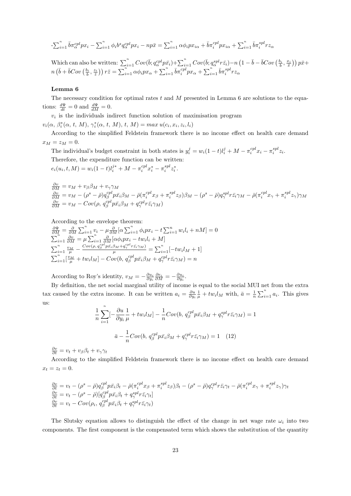$$
-\sum_{i=1}^{n} \bar{b}\pi_{\alpha}^{cpl} px_i - \sum_{i=1}^{n} \phi_i b^s q_{\alpha}^{cpl} px_i - np\bar{x} = \sum_{i=1}^{n} \alpha \phi_i px_{i\alpha} + \bar{b}\pi_i^{cpl} px_{i\alpha} + \sum_{i=1}^{n} \bar{b}\pi_i^{spl} rz_{\alpha}
$$

Which can also be written:  $\sum_{i=1}^{n} Cov(\bar{b}; q_{\alpha}^{cpl} p \bar{x_i}) + \sum_{i=1}^{n} Cov(\bar{b}; q_{\alpha}^{spl} r \bar{z_i}) - n(1 - \bar{b} - \bar{b}Cov(\frac{b_i}{\bar{b}}, \frac{x_i}{\bar{x}})) p \bar{x} +$  $n\left(\bar{b}+\bar{b}Cov\left(\frac{b_i}{\bar{b}},\frac{z_i}{\bar{z}}\right)\right)r\bar{z}=\sum_{i=1}^n\alpha\phi_ipx_\alpha+\sum_{i=1}^n\bar{b}\pi_i^{cpl}px_\alpha+\sum_{i=1}^n\bar{b}\pi_i^{spl}rz_\alpha$ 

#### Lemma 6

The necessary condition for optimal rates  $t$  and  $M$  presented in Lemma 6 are solutions to the equations:  $\frac{d\Psi}{dt} = 0$  and  $\frac{d\Psi}{dM} = 0$ .

 $v_i$  is the individuals indirect function solution of maximisation program

 $v_i(\alpha, \beta_i^*(\alpha, t, M), \gamma_i^*(\alpha, t, M), t, M) = max u(c_i, x_i, z_i, l_i)$ 

According to the simplified Feldstein framework there is no income effect on health care demand  $x_M = z_M = 0.$ 

The individual's budget constraint in both states is  $y_i^j = w_i(1-t)l_i^j + M - \pi_i^{cpl}x_i - \pi_i^{spl}z_i$ . Therefore, the expenditure function can be written:  $e_i(u_i, t, M) = w_i(1-t)l_i^{j*} + M - \pi_i^{cpl}x_i^* - \pi_i^{spl}z_i^*.$ 

 $\begin{array}{l} \frac{\partial v}{\partial M} = v_M + v_\beta \beta_M + v_\gamma \gamma_M \ \frac{\partial v}{\partial M} = v_M - (\rho^s - \bar{\rho}) q_\beta^{cpl} p \bar{x_i} \beta_M - \bar{\rho} (\pi_i^{cpl} x_\beta + \pi_i^{spl} z_\beta) \beta_M - (\rho^s - \bar{\rho}) q_\gamma^{spl} r \bar{z_i} \gamma_M - \bar{\rho} (\pi_i^{cpl} x_\gamma + \pi_i^{spl} z_\gamma) \gamma_M \end{array}$  $\frac{\partial v}{\partial M} = v_M - Cov(\rho, q_\beta^{cpl} p \bar{x_i} \beta_M + q_\gamma^{cpl} r \bar{z_i} \gamma_M)$ 

According to the envelope theorem:

$$
\frac{\partial \Psi}{\partial M} = \frac{\partial}{\partial M} \sum_{i=1}^{n} v_i - \mu \frac{\partial}{\partial M} [\alpha \sum_{i=1}^{n} \phi_i p x_i - t \sum_{i=1}^{n} w_i l_i + nM] = 0
$$
  

$$
\sum_{i=1}^{n} \frac{\partial v}{\partial M} = \mu \sum_{i=1}^{n} \frac{\partial}{\partial M} [\alpha \phi_i p x_i - t w_i l_i + M]
$$
  

$$
\sum_{i=1}^{n} \frac{v_M}{\mu} - \frac{Cov(\rho, q_{\beta}^{cpl} p \bar{x}_i \beta_M + q_{\gamma}^{cpl} r \bar{z}_i \gamma_M)}{\mu} = \sum_{i=1}^{n} [-tw_i l_M + 1]
$$
  

$$
\sum_{i=1}^{n} [\frac{v_M}{\mu} + tw_i l_M] - Cov(b, q_{\beta}^{cpl} p \bar{x}_i \beta_M + q_{\gamma}^{cpl} r \bar{z}_i \gamma_M) = n
$$

According to Roy's identity,  $v_M = -\frac{\partial u_i}{\partial y_i} \frac{\partial e_i}{\partial M} = -\frac{\partial u_i}{\partial y_i}$ .

By definition, the net social marginal utility of income is equal to the social MUI net from the extra tax caused by the extra income. It can be written  $a_i = \frac{\partial u}{\partial y_i} \frac{1}{\mu} + tw_i l_M$  with,  $\bar{a} = \frac{1}{n} \sum_{i=1}^n a_i$ . This gives us:

$$
\frac{1}{n}\sum_{i=1}^{n}[-\frac{\partial u}{\partial y_i}\frac{1}{\mu} + tw_i l_M] - \frac{1}{n}Cov(b, q_\beta^{cpl}p\bar{x}_i\beta_M + q_\gamma^{spl}r\bar{z}_i\gamma_M) = 1
$$

$$
\bar{a} - \frac{1}{n}Cov(b, q_\beta^{cpl}p\bar{x}_i\beta_M + q_\gamma^{cpl}r\bar{z}_i\gamma_M) = 1 \quad (12)
$$

 $\frac{\partial v}{\partial t} = v_t + v_\beta \beta_t + v_\gamma \gamma_t$ 

According to the simplified Feldstein framework there is no income effect on health care demand  $x_t = z_t = 0.$ 

$$
\frac{\partial v}{\partial t} = v_t - (\rho^s - \bar{\rho}) q_\beta^{cpl} p \bar{x}_i \beta_t - \bar{\rho} (\pi_i^{cpl} x_\beta + \pi_i^{spl} z_\beta) \beta_t - (\rho^s - \bar{\rho}) q_\gamma^{cpl} r \bar{z}_i \gamma_t - \bar{\rho} (\pi_i^{cpl} x_\gamma + \pi_i^{spl} z_\gamma) \gamma_t \n\frac{\partial v}{\partial t} = v_t - (\rho^s - \bar{\rho}) [q_\beta^{cpl} p \bar{x}_i \beta_t + q_\gamma^{spl} r \bar{z}_i \gamma_t]
$$
\n
$$
\frac{\partial v}{\partial t} = v_t - Cov(\rho_i, q_\beta^{cpl} p \bar{x}_i \beta_t + q_\gamma^{spl} r \bar{z}_i \gamma_t)
$$

The Slutsky equation allows to distinguish the effect of the change in net wage rate  $\omega_i$  into two components. The first component is the compensated term which shows the substitution of the quantity